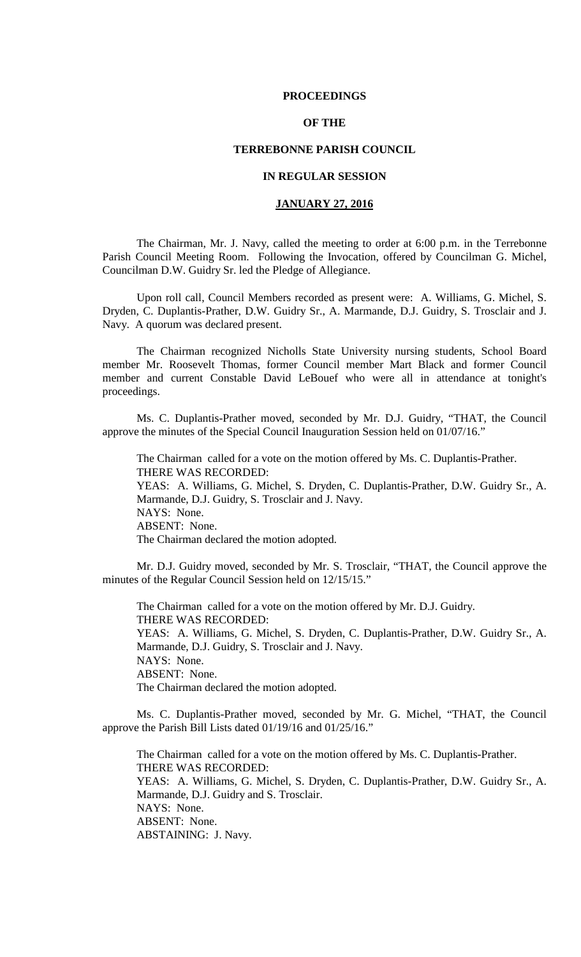### **PROCEEDINGS**

## **OF THE**

### **TERREBONNE PARISH COUNCIL**

## **IN REGULAR SESSION**

## **JANUARY 27, 2016**

The Chairman, Mr. J. Navy, called the meeting to order at 6:00 p.m. in the Terrebonne Parish Council Meeting Room. Following the Invocation, offered by Councilman G. Michel, Councilman D.W. Guidry Sr. led the Pledge of Allegiance.

Upon roll call, Council Members recorded as present were: A. Williams, G. Michel, S. Dryden, C. Duplantis-Prather, D.W. Guidry Sr., A. Marmande, D.J. Guidry, S. Trosclair and J. Navy. A quorum was declared present.

The Chairman recognized Nicholls State University nursing students, School Board member Mr. Roosevelt Thomas, former Council member Mart Black and former Council member and current Constable David LeBouef who were all in attendance at tonight's proceedings.

Ms. C. Duplantis-Prather moved, seconded by Mr. D.J. Guidry, "THAT, the Council approve the minutes of the Special Council Inauguration Session held on 01/07/16."

The Chairman called for a vote on the motion offered by Ms. C. Duplantis-Prather. THERE WAS RECORDED: YEAS: A. Williams, G. Michel, S. Dryden, C. Duplantis-Prather, D.W. Guidry Sr., A. Marmande, D.J. Guidry, S. Trosclair and J. Navy. NAYS: None. ABSENT: None. The Chairman declared the motion adopted.

Mr. D.J. Guidry moved, seconded by Mr. S. Trosclair, "THAT, the Council approve the minutes of the Regular Council Session held on 12/15/15."

The Chairman called for a vote on the motion offered by Mr. D.J. Guidry. THERE WAS RECORDED: YEAS: A. Williams, G. Michel, S. Dryden, C. Duplantis-Prather, D.W. Guidry Sr., A. Marmande, D.J. Guidry, S. Trosclair and J. Navy. NAYS: None. ABSENT: None. The Chairman declared the motion adopted.

Ms. C. Duplantis-Prather moved, seconded by Mr. G. Michel, "THAT, the Council approve the Parish Bill Lists dated 01/19/16 and 01/25/16."

The Chairman called for a vote on the motion offered by Ms. C. Duplantis-Prather. THERE WAS RECORDED: YEAS: A. Williams, G. Michel, S. Dryden, C. Duplantis-Prather, D.W. Guidry Sr., A. Marmande, D.J. Guidry and S. Trosclair. NAYS: None. ABSENT: None. ABSTAINING: J. Navy.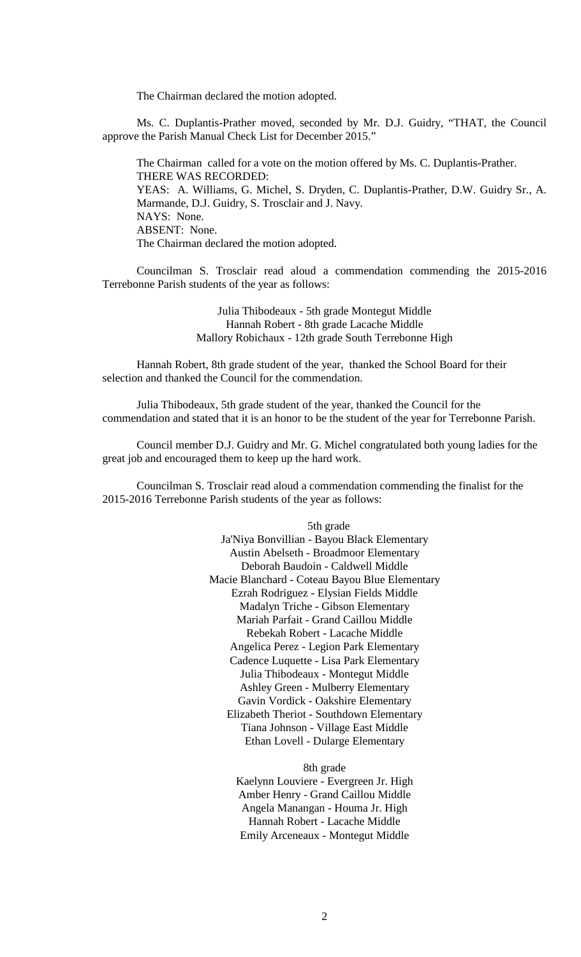The Chairman declared the motion adopted.

Ms. C. Duplantis-Prather moved, seconded by Mr. D.J. Guidry, "THAT, the Council approve the Parish Manual Check List for December 2015."

The Chairman called for a vote on the motion offered by Ms. C. Duplantis-Prather. THERE WAS RECORDED: YEAS: A. Williams, G. Michel, S. Dryden, C. Duplantis-Prather, D.W. Guidry Sr., A. Marmande, D.J. Guidry, S. Trosclair and J. Navy. NAYS: None. ABSENT: None. The Chairman declared the motion adopted.

Councilman S. Trosclair read aloud a commendation commending the 2015-2016 Terrebonne Parish students of the year as follows:

> Julia Thibodeaux - 5th grade Montegut Middle Hannah Robert - 8th grade Lacache Middle Mallory Robichaux - 12th grade South Terrebonne High

Hannah Robert, 8th grade student of the year, thanked the School Board for their selection and thanked the Council for the commendation.

Julia Thibodeaux, 5th grade student of the year, thanked the Council for the commendation and stated that it is an honor to be the student of the year for Terrebonne Parish.

Council member D.J. Guidry and Mr. G. Michel congratulated both young ladies for the great job and encouraged them to keep up the hard work.

Councilman S. Trosclair read aloud a commendation commending the finalist for the 2015-2016 Terrebonne Parish students of the year as follows:

> 5th grade Ja'Niya Bonvillian - Bayou Black Elementary Austin Abelseth - Broadmoor Elementary Deborah Baudoin - Caldwell Middle Macie Blanchard - Coteau Bayou Blue Elementary Ezrah Rodriguez - Elysian Fields Middle Madalyn Triche - Gibson Elementary Mariah Parfait - Grand Caillou Middle Rebekah Robert - Lacache Middle Angelica Perez - Legion Park Elementary Cadence Luquette - Lisa Park Elementary Julia Thibodeaux - Montegut Middle Ashley Green - Mulberry Elementary Gavin Vordick - Oakshire Elementary Elizabeth Theriot - Southdown Elementary Tiana Johnson - Village East Middle Ethan Lovell - Dularge Elementary

> > 8th grade Kaelynn Louviere - Evergreen Jr. High Amber Henry - Grand Caillou Middle Angela Manangan - Houma Jr. High Hannah Robert - Lacache Middle Emily Arceneaux - Montegut Middle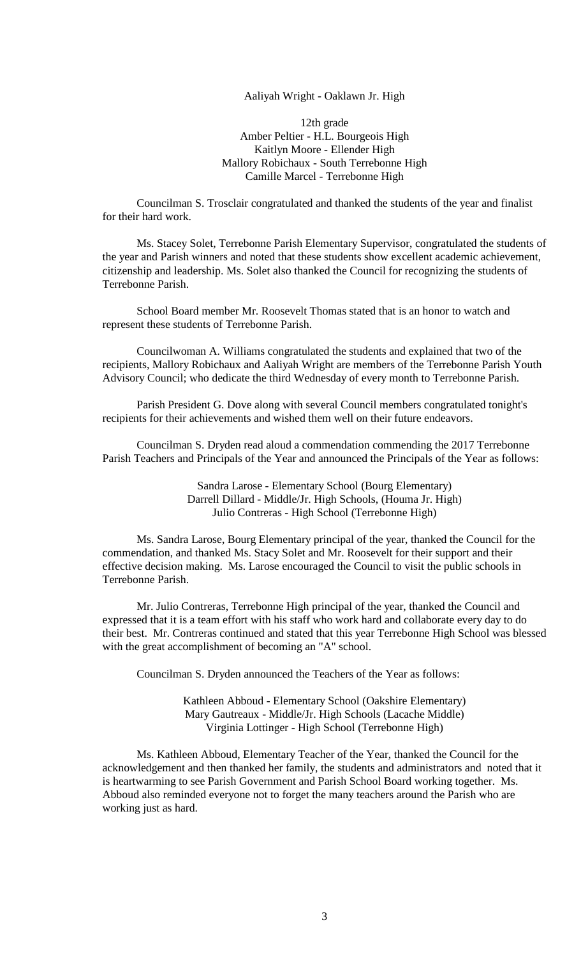Aaliyah Wright - Oaklawn Jr. High

12th grade Amber Peltier - H.L. Bourgeois High Kaitlyn Moore - Ellender High Mallory Robichaux - South Terrebonne High Camille Marcel - Terrebonne High

Councilman S. Trosclair congratulated and thanked the students of the year and finalist for their hard work.

Ms. Stacey Solet, Terrebonne Parish Elementary Supervisor, congratulated the students of the year and Parish winners and noted that these students show excellent academic achievement, citizenship and leadership. Ms. Solet also thanked the Council for recognizing the students of Terrebonne Parish.

School Board member Mr. Roosevelt Thomas stated that is an honor to watch and represent these students of Terrebonne Parish.

Councilwoman A. Williams congratulated the students and explained that two of the recipients, Mallory Robichaux and Aaliyah Wright are members of the Terrebonne Parish Youth Advisory Council; who dedicate the third Wednesday of every month to Terrebonne Parish.

Parish President G. Dove along with several Council members congratulated tonight's recipients for their achievements and wished them well on their future endeavors.

Councilman S. Dryden read aloud a commendation commending the 2017 Terrebonne Parish Teachers and Principals of the Year and announced the Principals of the Year as follows:

> Sandra Larose - Elementary School (Bourg Elementary) Darrell Dillard - Middle/Jr. High Schools, (Houma Jr. High) Julio Contreras - High School (Terrebonne High)

Ms. Sandra Larose, Bourg Elementary principal of the year, thanked the Council for the commendation, and thanked Ms. Stacy Solet and Mr. Roosevelt for their support and their effective decision making. Ms. Larose encouraged the Council to visit the public schools in Terrebonne Parish.

Mr. Julio Contreras, Terrebonne High principal of the year, thanked the Council and expressed that it is a team effort with his staff who work hard and collaborate every day to do their best. Mr. Contreras continued and stated that this year Terrebonne High School was blessed with the great accomplishment of becoming an "A" school.

Councilman S. Dryden announced the Teachers of the Year as follows:

Kathleen Abboud - Elementary School (Oakshire Elementary) Mary Gautreaux - Middle/Jr. High Schools (Lacache Middle) Virginia Lottinger - High School (Terrebonne High)

Ms. Kathleen Abboud, Elementary Teacher of the Year, thanked the Council for the acknowledgement and then thanked her family, the students and administrators and noted that it is heartwarming to see Parish Government and Parish School Board working together. Ms. Abboud also reminded everyone not to forget the many teachers around the Parish who are working just as hard.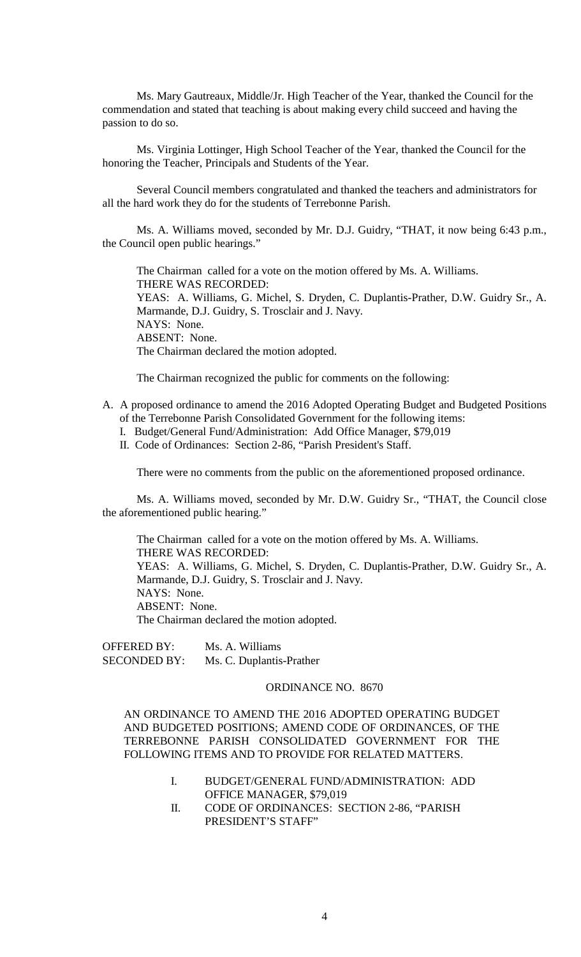Ms. Mary Gautreaux, Middle/Jr. High Teacher of the Year, thanked the Council for the commendation and stated that teaching is about making every child succeed and having the passion to do so.

Ms. Virginia Lottinger, High School Teacher of the Year, thanked the Council for the honoring the Teacher, Principals and Students of the Year.

Several Council members congratulated and thanked the teachers and administrators for all the hard work they do for the students of Terrebonne Parish.

Ms. A. Williams moved, seconded by Mr. D.J. Guidry, "THAT, it now being 6:43 p.m., the Council open public hearings."

The Chairman called for a vote on the motion offered by Ms. A. Williams. THERE WAS RECORDED: YEAS: A. Williams, G. Michel, S. Dryden, C. Duplantis-Prather, D.W. Guidry Sr., A. Marmande, D.J. Guidry, S. Trosclair and J. Navy. NAYS: None. ABSENT: None. The Chairman declared the motion adopted.

The Chairman recognized the public for comments on the following:

- A. A proposed ordinance to amend the 2016 Adopted Operating Budget and Budgeted Positions of the Terrebonne Parish Consolidated Government for the following items:
	- I. Budget/General Fund/Administration: Add Office Manager, \$79,019
	- II. Code of Ordinances: Section 2-86, "Parish President's Staff.

There were no comments from the public on the aforementioned proposed ordinance.

Ms. A. Williams moved, seconded by Mr. D.W. Guidry Sr., "THAT, the Council close the aforementioned public hearing."

The Chairman called for a vote on the motion offered by Ms. A. Williams. THERE WAS RECORDED: YEAS: A. Williams, G. Michel, S. Dryden, C. Duplantis-Prather, D.W. Guidry Sr., A. Marmande, D.J. Guidry, S. Trosclair and J. Navy. NAYS: None. ABSENT: None. The Chairman declared the motion adopted.

OFFERED BY: Ms. A. Williams SECONDED BY: Ms. C. Duplantis-Prather

## ORDINANCE NO. 8670

AN ORDINANCE TO AMEND THE 2016 ADOPTED OPERATING BUDGET AND BUDGETED POSITIONS; AMEND CODE OF ORDINANCES, OF THE TERREBONNE PARISH CONSOLIDATED GOVERNMENT FOR THE FOLLOWING ITEMS AND TO PROVIDE FOR RELATED MATTERS.

- I. BUDGET/GENERAL FUND/ADMINISTRATION: ADD OFFICE MANAGER, \$79,019
- II. CODE OF ORDINANCES: SECTION 2-86, "PARISH PRESIDENT'S STAFF"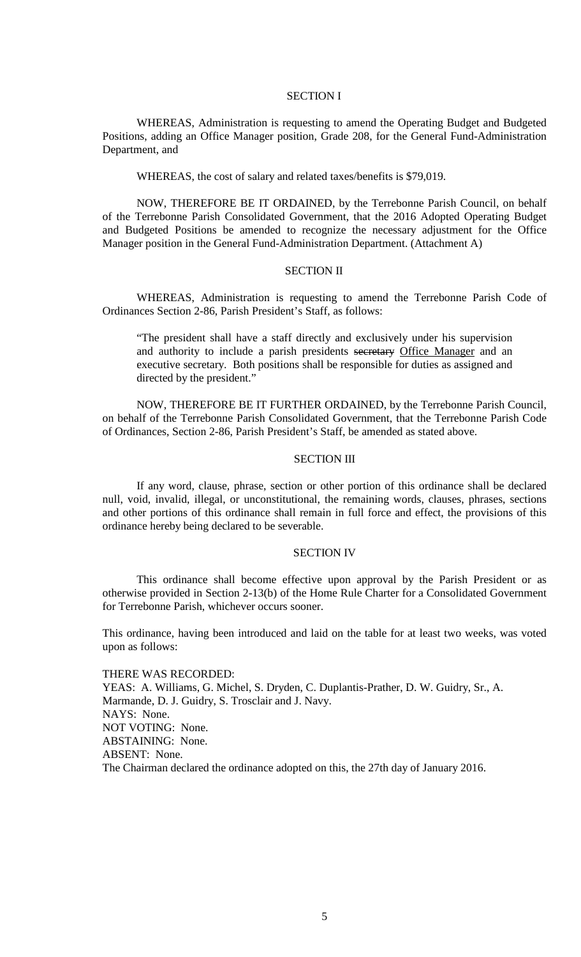### SECTION I

WHEREAS, Administration is requesting to amend the Operating Budget and Budgeted Positions, adding an Office Manager position, Grade 208, for the General Fund-Administration Department, and

WHEREAS, the cost of salary and related taxes/benefits is \$79,019.

NOW, THEREFORE BE IT ORDAINED, by the Terrebonne Parish Council, on behalf of the Terrebonne Parish Consolidated Government, that the 2016 Adopted Operating Budget and Budgeted Positions be amended to recognize the necessary adjustment for the Office Manager position in the General Fund-Administration Department. (Attachment A)

### SECTION II

WHEREAS, Administration is requesting to amend the Terrebonne Parish Code of Ordinances Section 2-86, Parish President's Staff, as follows:

"The president shall have a staff directly and exclusively under his supervision and authority to include a parish presidents secretary Office Manager and an executive secretary. Both positions shall be responsible for duties as assigned and directed by the president."

NOW, THEREFORE BE IT FURTHER ORDAINED, by the Terrebonne Parish Council, on behalf of the Terrebonne Parish Consolidated Government, that the Terrebonne Parish Code of Ordinances, Section 2-86, Parish President's Staff, be amended as stated above.

### SECTION III

If any word, clause, phrase, section or other portion of this ordinance shall be declared null, void, invalid, illegal, or unconstitutional, the remaining words, clauses, phrases, sections and other portions of this ordinance shall remain in full force and effect, the provisions of this ordinance hereby being declared to be severable.

### SECTION IV

This ordinance shall become effective upon approval by the Parish President or as otherwise provided in Section 2-13(b) of the Home Rule Charter for a Consolidated Government for Terrebonne Parish, whichever occurs sooner.

This ordinance, having been introduced and laid on the table for at least two weeks, was voted upon as follows:

#### THERE WAS RECORDED:

YEAS: A. Williams, G. Michel, S. Dryden, C. Duplantis-Prather, D. W. Guidry, Sr., A. Marmande, D. J. Guidry, S. Trosclair and J. Navy. NAYS: None. NOT VOTING: None. ABSTAINING: None. ABSENT: None. The Chairman declared the ordinance adopted on this, the 27th day of January 2016.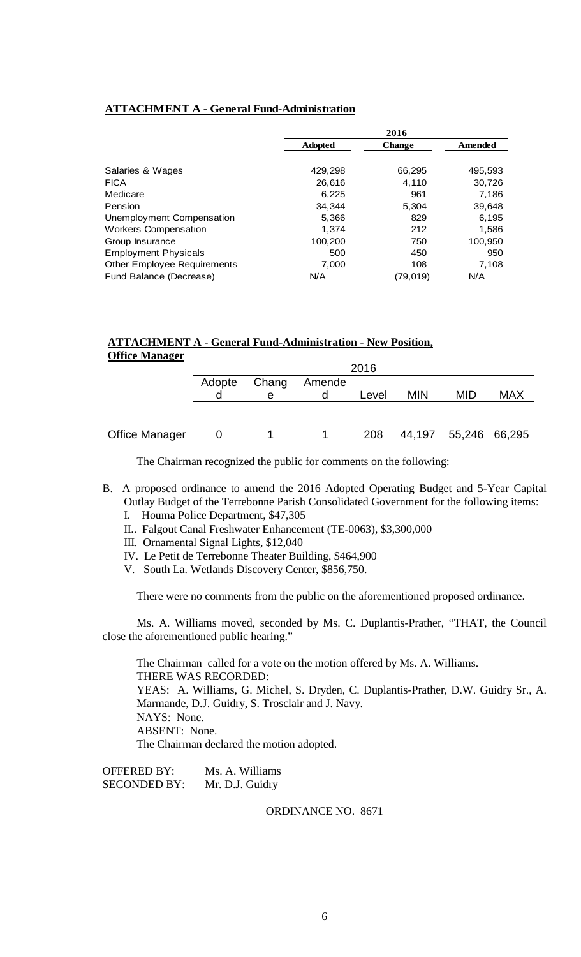## **ATTACHMENT A - General Fund-Administration**

|                                    |                | 2016          |                |
|------------------------------------|----------------|---------------|----------------|
|                                    | <b>Adopted</b> | <b>Change</b> | <b>Amended</b> |
|                                    |                |               |                |
| Salaries & Wages                   | 429,298        | 66,295        | 495,593        |
| <b>FICA</b>                        | 26.616         | 4.110         | 30,726         |
| Medicare                           | 6,225          | 961           | 7,186          |
| Pension                            | 34.344         | 5,304         | 39,648         |
| Unemployment Compensation          | 5,366          | 829           | 6,195          |
| <b>Workers Compensation</b>        | 1.374          | 212           | 1,586          |
| Group Insurance                    | 100,200        | 750           | 100,950        |
| <b>Employment Physicals</b>        | 500            | 450           | 950            |
| <b>Other Employee Requirements</b> | 7,000          | 108           | 7.108          |
| Fund Balance (Decrease)            | N/A            | (79,019)      | N/A            |

## **ATTACHMENT A - General Fund-Administration - New Position, Office Manager**

|                       | 2016   |       |        |       |            |                      |            |
|-----------------------|--------|-------|--------|-------|------------|----------------------|------------|
|                       | Adopte | Chang | Amende |       |            |                      |            |
|                       |        | е     |        | Level | <b>MIN</b> | MID                  | <b>MAX</b> |
|                       |        |       |        |       |            |                      |            |
|                       |        |       |        |       |            |                      |            |
| <b>Office Manager</b> |        |       |        | 208   |            | 44,197 55,246 66,295 |            |

The Chairman recognized the public for comments on the following:

- B. A proposed ordinance to amend the 2016 Adopted Operating Budget and 5-Year Capital Outlay Budget of the Terrebonne Parish Consolidated Government for the following items: I. Houma Police Department, \$47,305
	-
	- II.. Falgout Canal Freshwater Enhancement (TE-0063), \$3,300,000
	- III. Ornamental Signal Lights, \$12,040
	- IV. Le Petit de Terrebonne Theater Building, \$464,900
	- V. South La. Wetlands Discovery Center, \$856,750.

There were no comments from the public on the aforementioned proposed ordinance.

Ms. A. Williams moved, seconded by Ms. C. Duplantis-Prather, "THAT, the Council close the aforementioned public hearing."

The Chairman called for a vote on the motion offered by Ms. A. Williams. THERE WAS RECORDED: YEAS: A. Williams, G. Michel, S. Dryden, C. Duplantis-Prather, D.W. Guidry Sr., A. Marmande, D.J. Guidry, S. Trosclair and J. Navy. NAYS: None. ABSENT: None. The Chairman declared the motion adopted.

OFFERED BY: Ms. A. Williams SECONDED BY: Mr. D.J. Guidry

ORDINANCE NO. 8671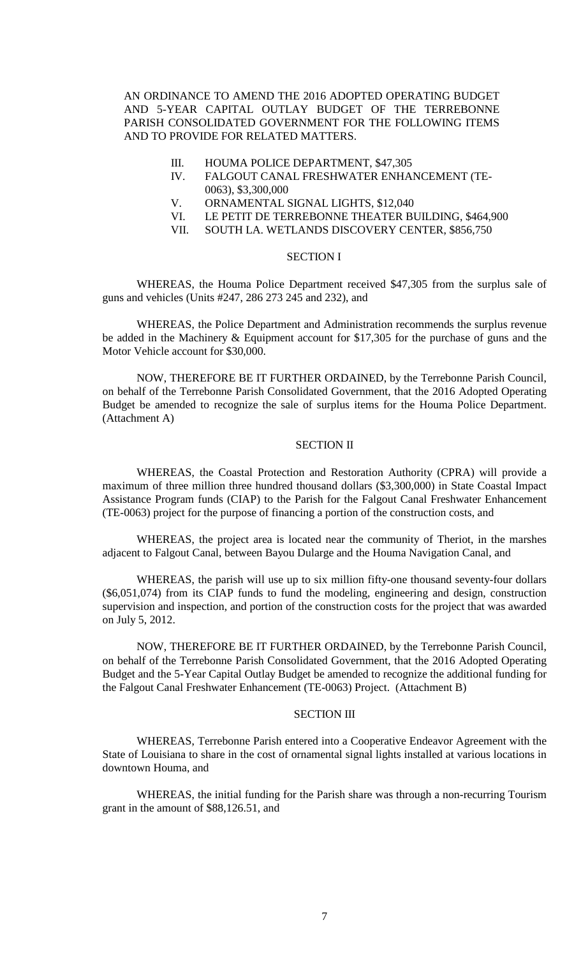AN ORDINANCE TO AMEND THE 2016 ADOPTED OPERATING BUDGET AND 5-YEAR CAPITAL OUTLAY BUDGET OF THE TERREBONNE PARISH CONSOLIDATED GOVERNMENT FOR THE FOLLOWING ITEMS AND TO PROVIDE FOR RELATED MATTERS.

- III. HOUMA POLICE DEPARTMENT, \$47,305
- IV. FALGOUT CANAL FRESHWATER ENHANCEMENT (TE-0063), \$3,300,000
- V. ORNAMENTAL SIGNAL LIGHTS, \$12,040
- VI. LE PETIT DE TERREBONNE THEATER BUILDING, \$464,900
- VII. SOUTH LA. WETLANDS DISCOVERY CENTER, \$856,750

## SECTION I

WHEREAS, the Houma Police Department received \$47,305 from the surplus sale of guns and vehicles (Units #247, 286 273 245 and 232), and

WHEREAS, the Police Department and Administration recommends the surplus revenue be added in the Machinery & Equipment account for \$17,305 for the purchase of guns and the Motor Vehicle account for \$30,000.

NOW, THEREFORE BE IT FURTHER ORDAINED, by the Terrebonne Parish Council, on behalf of the Terrebonne Parish Consolidated Government, that the 2016 Adopted Operating Budget be amended to recognize the sale of surplus items for the Houma Police Department. (Attachment A)

### SECTION II

WHEREAS, the Coastal Protection and Restoration Authority (CPRA) will provide a maximum of three million three hundred thousand dollars (\$3,300,000) in State Coastal Impact Assistance Program funds (CIAP) to the Parish for the Falgout Canal Freshwater Enhancement (TE-0063) project for the purpose of financing a portion of the construction costs, and

WHEREAS, the project area is located near the community of Theriot, in the marshes adjacent to Falgout Canal, between Bayou Dularge and the Houma Navigation Canal, and

WHEREAS, the parish will use up to six million fifty-one thousand seventy-four dollars (\$6,051,074) from its CIAP funds to fund the modeling, engineering and design, construction supervision and inspection, and portion of the construction costs for the project that was awarded on July 5, 2012.

NOW, THEREFORE BE IT FURTHER ORDAINED, by the Terrebonne Parish Council, on behalf of the Terrebonne Parish Consolidated Government, that the 2016 Adopted Operating Budget and the 5-Year Capital Outlay Budget be amended to recognize the additional funding for the Falgout Canal Freshwater Enhancement (TE-0063) Project. (Attachment B)

## SECTION III

WHEREAS, Terrebonne Parish entered into a Cooperative Endeavor Agreement with the State of Louisiana to share in the cost of ornamental signal lights installed at various locations in downtown Houma, and

WHEREAS, the initial funding for the Parish share was through a non-recurring Tourism grant in the amount of \$88,126.51, and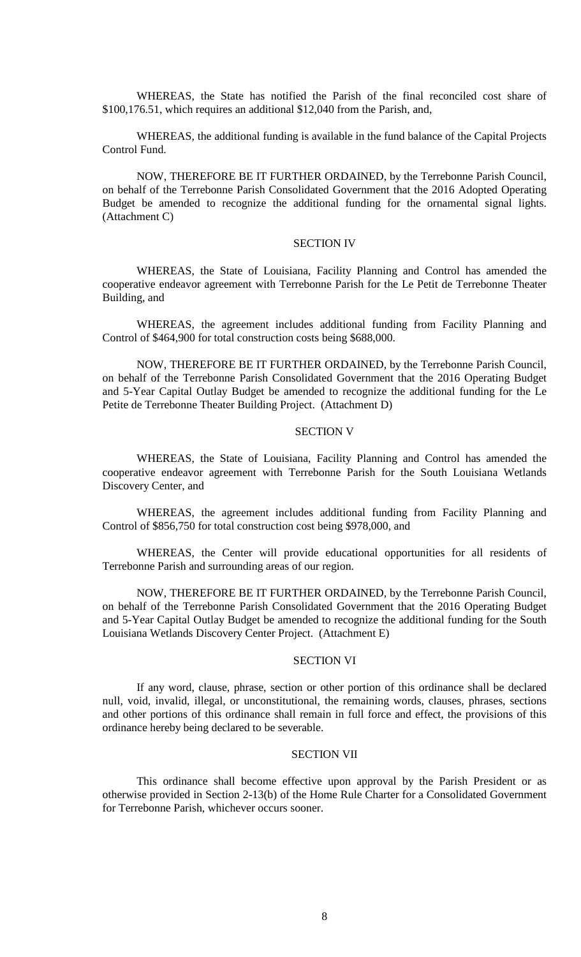WHEREAS, the State has notified the Parish of the final reconciled cost share of \$100,176.51, which requires an additional \$12,040 from the Parish, and,

WHEREAS, the additional funding is available in the fund balance of the Capital Projects Control Fund.

NOW, THEREFORE BE IT FURTHER ORDAINED, by the Terrebonne Parish Council, on behalf of the Terrebonne Parish Consolidated Government that the 2016 Adopted Operating Budget be amended to recognize the additional funding for the ornamental signal lights. (Attachment C)

#### SECTION IV

WHEREAS, the State of Louisiana, Facility Planning and Control has amended the cooperative endeavor agreement with Terrebonne Parish for the Le Petit de Terrebonne Theater Building, and

WHEREAS, the agreement includes additional funding from Facility Planning and Control of \$464,900 for total construction costs being \$688,000.

NOW, THEREFORE BE IT FURTHER ORDAINED, by the Terrebonne Parish Council, on behalf of the Terrebonne Parish Consolidated Government that the 2016 Operating Budget and 5-Year Capital Outlay Budget be amended to recognize the additional funding for the Le Petite de Terrebonne Theater Building Project. (Attachment D)

## SECTION V

WHEREAS, the State of Louisiana, Facility Planning and Control has amended the cooperative endeavor agreement with Terrebonne Parish for the South Louisiana Wetlands Discovery Center, and

WHEREAS, the agreement includes additional funding from Facility Planning and Control of \$856,750 for total construction cost being \$978,000, and

WHEREAS, the Center will provide educational opportunities for all residents of Terrebonne Parish and surrounding areas of our region.

NOW, THEREFORE BE IT FURTHER ORDAINED, by the Terrebonne Parish Council, on behalf of the Terrebonne Parish Consolidated Government that the 2016 Operating Budget and 5-Year Capital Outlay Budget be amended to recognize the additional funding for the South Louisiana Wetlands Discovery Center Project. (Attachment E)

### SECTION VI

If any word, clause, phrase, section or other portion of this ordinance shall be declared null, void, invalid, illegal, or unconstitutional, the remaining words, clauses, phrases, sections and other portions of this ordinance shall remain in full force and effect, the provisions of this ordinance hereby being declared to be severable.

### SECTION VII

This ordinance shall become effective upon approval by the Parish President or as otherwise provided in Section 2-13(b) of the Home Rule Charter for a Consolidated Government for Terrebonne Parish, whichever occurs sooner.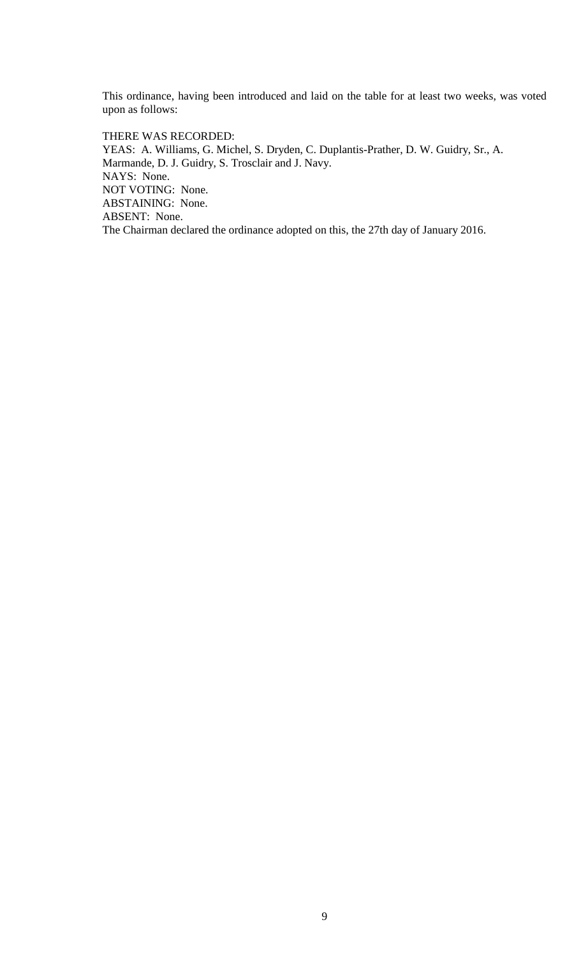This ordinance, having been introduced and laid on the table for at least two weeks, was voted upon as follows:

THERE WAS RECORDED: YEAS: A. Williams, G. Michel, S. Dryden, C. Duplantis-Prather, D. W. Guidry, Sr., A. Marmande, D. J. Guidry, S. Trosclair and J. Navy. NAYS: None. NOT VOTING: None. ABSTAINING: None. ABSENT: None. The Chairman declared the ordinance adopted on this, the 27th day of January 2016.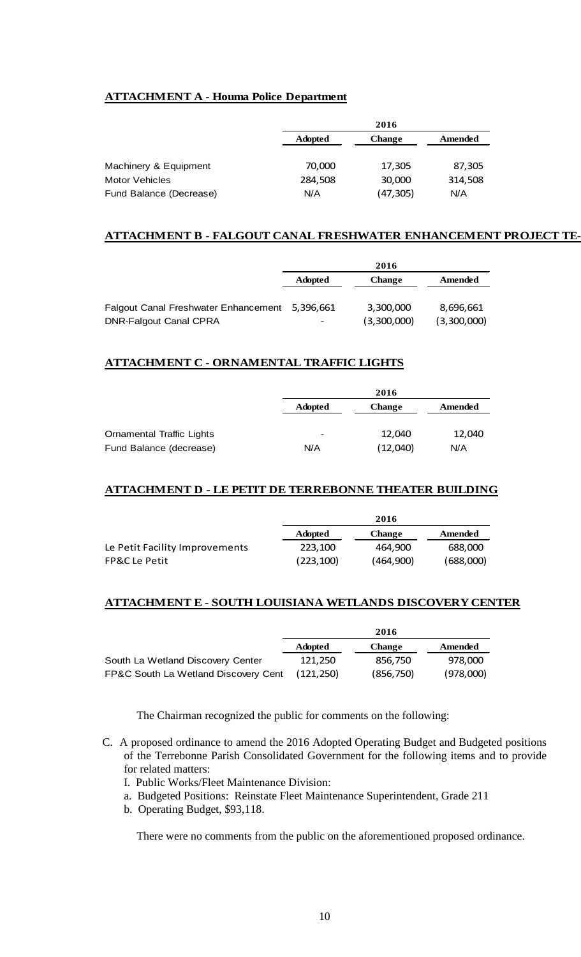# **ATTACHMENT A - Houma Police Department**

|                         | 2016           |               |         |  |
|-------------------------|----------------|---------------|---------|--|
|                         | <b>Adopted</b> | <b>Change</b> | Amended |  |
| Machinery & Equipment   | 70,000         | 17,305        | 87,305  |  |
| Motor Vehicles          | 284,508        | 30,000        | 314,508 |  |
| Fund Balance (Decrease) | N/A            | (47, 305)     | N/A     |  |

## **ATTACHMENT B - FALGOUT CANAL FRESHWATER ENHANCEMENT PROJECT TE-**

|                                             | 2016                     |               |             |
|---------------------------------------------|--------------------------|---------------|-------------|
|                                             | <b>Adopted</b>           | <b>Change</b> | Amended     |
| <b>Falgout Canal Freshwater Enhancement</b> | 5,396,661                | 3,300,000     | 8,696,661   |
| <b>DNR-Falgout Canal CPRA</b>               | $\overline{\phantom{a}}$ | (3,300,000)   | (3,300,000) |

## **ATTACHMENT C - ORNAMENTAL TRAFFIC LIGHTS**

|                                  |                | 2016          |         |
|----------------------------------|----------------|---------------|---------|
|                                  | <b>Adopted</b> | <b>Change</b> | Amended |
|                                  |                |               |         |
| <b>Ornamental Traffic Lights</b> | -              | 12,040        | 12,040  |
| Fund Balance (decrease)          | N/A            | (12,040)      | N/A     |

## **ATTACHMENT D - LE PETIT DE TERREBONNE THEATER BUILDING**

|                                | 2016           |               |           |
|--------------------------------|----------------|---------------|-----------|
|                                | <b>Adopted</b> | <b>Change</b> | Amended   |
| Le Petit Facility Improvements | 223.100        | 464.900       | 688,000   |
| <b>FP&amp;C Le Petit</b>       | (223, 100)     | (464,900)     | (688,000) |

### **ATTACHMENT E - SOUTH LOUISIANA WETLANDS DISCOVERY CENTER**

|                                      | 2016           |               |           |
|--------------------------------------|----------------|---------------|-----------|
|                                      | <b>Adopted</b> | <b>Change</b> | Amended   |
| South La Wetland Discovery Center    | 121.250        | 856.750       | 978.000   |
| FP&C South La Wetland Discovery Cent | (121.250)      | (856, 750)    | (978,000) |

The Chairman recognized the public for comments on the following:

- C. A proposed ordinance to amend the 2016 Adopted Operating Budget and Budgeted positions of the Terrebonne Parish Consolidated Government for the following items and to provide for related matters:
	- I. Public Works/Fleet Maintenance Division:
	- a. Budgeted Positions: Reinstate Fleet Maintenance Superintendent, Grade 211
	- b. Operating Budget, \$93,118.

There were no comments from the public on the aforementioned proposed ordinance.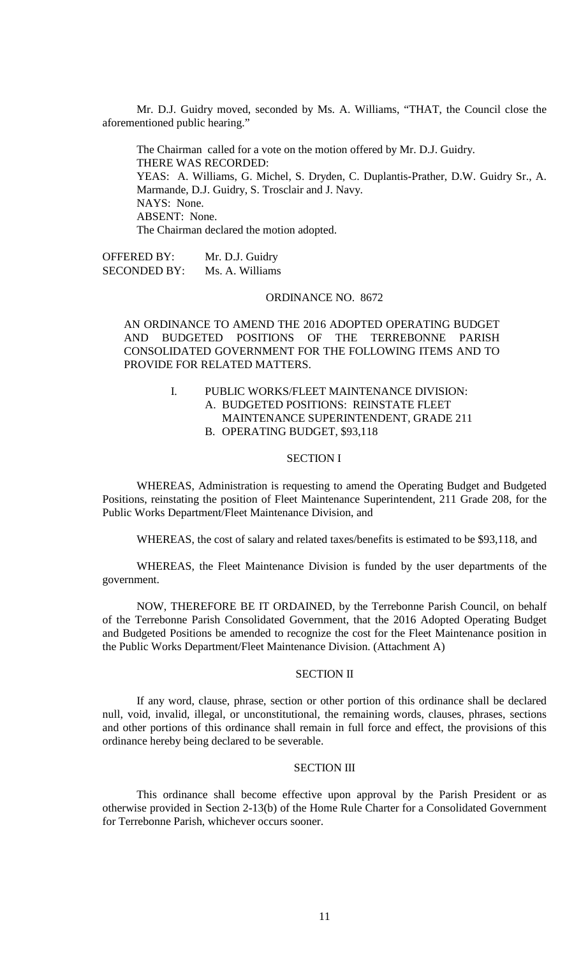Mr. D.J. Guidry moved, seconded by Ms. A. Williams, "THAT, the Council close the aforementioned public hearing."

The Chairman called for a vote on the motion offered by Mr. D.J. Guidry. THERE WAS RECORDED: YEAS: A. Williams, G. Michel, S. Dryden, C. Duplantis-Prather, D.W. Guidry Sr., A. Marmande, D.J. Guidry, S. Trosclair and J. Navy. NAYS: None. ABSENT: None. The Chairman declared the motion adopted.

OFFERED BY: Mr. D.J. Guidry<br>SECONDED BY: Ms. A. Williams SECONDED BY:

#### ORDINANCE NO. 8672

AN ORDINANCE TO AMEND THE 2016 ADOPTED OPERATING BUDGET AND BUDGETED POSITIONS OF THE TERREBONNE PARISH CONSOLIDATED GOVERNMENT FOR THE FOLLOWING ITEMS AND TO PROVIDE FOR RELATED MATTERS.

## I. PUBLIC WORKS/FLEET MAINTENANCE DIVISION: A. BUDGETED POSITIONS: REINSTATE FLEET MAINTENANCE SUPERINTENDENT, GRADE 211 B. OPERATING BUDGET, \$93,118

#### SECTION I

WHEREAS, Administration is requesting to amend the Operating Budget and Budgeted Positions, reinstating the position of Fleet Maintenance Superintendent, 211 Grade 208, for the Public Works Department/Fleet Maintenance Division, and

WHEREAS, the cost of salary and related taxes/benefits is estimated to be \$93,118, and

WHEREAS, the Fleet Maintenance Division is funded by the user departments of the government.

NOW, THEREFORE BE IT ORDAINED, by the Terrebonne Parish Council, on behalf of the Terrebonne Parish Consolidated Government, that the 2016 Adopted Operating Budget and Budgeted Positions be amended to recognize the cost for the Fleet Maintenance position in the Public Works Department/Fleet Maintenance Division. (Attachment A)

### SECTION II

If any word, clause, phrase, section or other portion of this ordinance shall be declared null, void, invalid, illegal, or unconstitutional, the remaining words, clauses, phrases, sections and other portions of this ordinance shall remain in full force and effect, the provisions of this ordinance hereby being declared to be severable.

### SECTION III

This ordinance shall become effective upon approval by the Parish President or as otherwise provided in Section 2-13(b) of the Home Rule Charter for a Consolidated Government for Terrebonne Parish, whichever occurs sooner.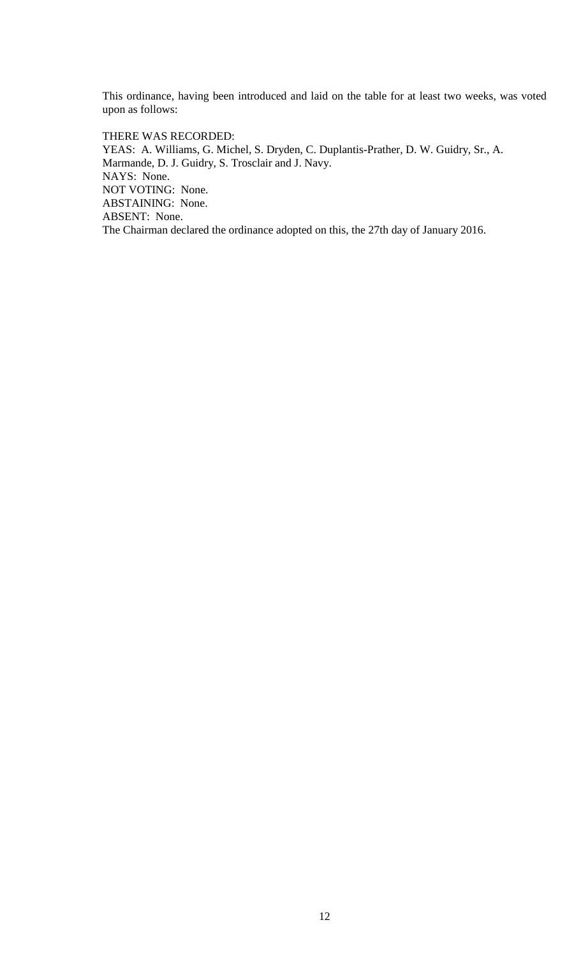This ordinance, having been introduced and laid on the table for at least two weeks, was voted upon as follows:

THERE WAS RECORDED: YEAS: A. Williams, G. Michel, S. Dryden, C. Duplantis-Prather, D. W. Guidry, Sr., A. Marmande, D. J. Guidry, S. Trosclair and J. Navy. NAYS: None. NOT VOTING: None. ABSTAINING: None. ABSENT: None. The Chairman declared the ordinance adopted on this, the 27th day of January 2016.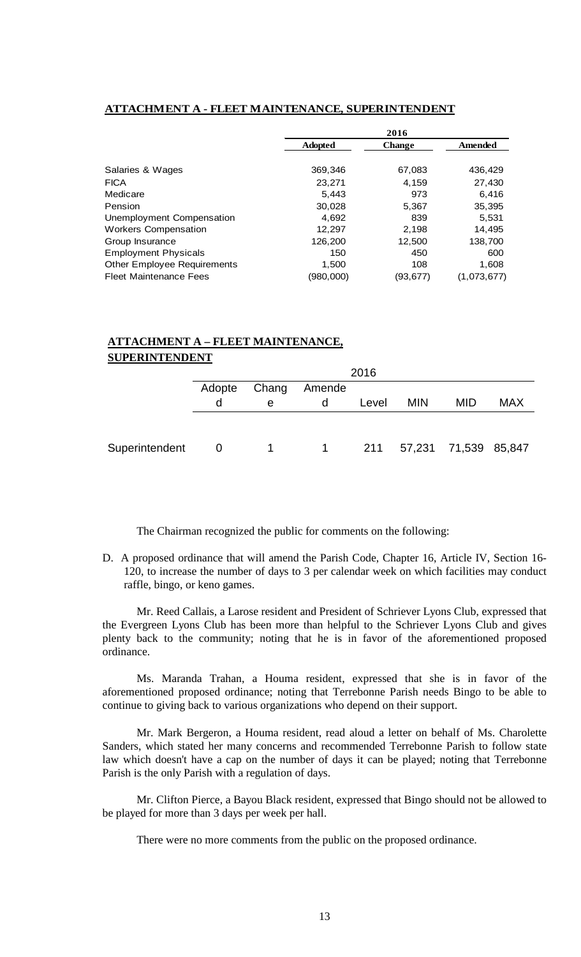## **ATTACHMENT A - FLEET MAINTENANCE, SUPERINTENDENT**

|                                    | 2016           |               |             |
|------------------------------------|----------------|---------------|-------------|
|                                    | <b>Adopted</b> | <b>Change</b> | Amended     |
|                                    |                |               |             |
| Salaries & Wages                   | 369,346        | 67,083        | 436,429     |
| <b>FICA</b>                        | 23,271         | 4.159         | 27,430      |
| Medicare                           | 5,443          | 973           | 6,416       |
| Pension                            | 30,028         | 5,367         | 35,395      |
| Unemployment Compensation          | 4,692          | 839           | 5,531       |
| <b>Workers Compensation</b>        | 12.297         | 2,198         | 14,495      |
| Group Insurance                    | 126,200        | 12,500        | 138,700     |
| <b>Employment Physicals</b>        | 150            | 450           | 600         |
| <b>Other Employee Requirements</b> | 1.500          | 108           | 1,608       |
| <b>Fleet Maintenance Fees</b>      | (980,000)      | (93,677)      | (1,073,677) |

## **ATTACHMENT A – FLEET MAINTENANCE, SUPERINTENDENT**

|                | 2016                      |                |          |       |                          |            |            |
|----------------|---------------------------|----------------|----------|-------|--------------------------|------------|------------|
|                | Chang<br>Amende<br>Adopte |                |          |       |                          |            |            |
|                | d                         | e              | d        | Level | <b>MIN</b>               | <b>MID</b> | <b>MAX</b> |
|                |                           |                |          |       |                          |            |            |
|                |                           |                |          |       |                          |            |            |
| Superintendent | - 0                       | $\overline{1}$ | $\sim$ 1 |       | 211 57,231 71,539 85,847 |            |            |

The Chairman recognized the public for comments on the following:

D. A proposed ordinance that will amend the Parish Code, Chapter 16, Article IV, Section 16- 120, to increase the number of days to 3 per calendar week on which facilities may conduct raffle, bingo, or keno games.

Mr. Reed Callais, a Larose resident and President of Schriever Lyons Club, expressed that the Evergreen Lyons Club has been more than helpful to the Schriever Lyons Club and gives plenty back to the community; noting that he is in favor of the aforementioned proposed ordinance.

Ms. Maranda Trahan, a Houma resident, expressed that she is in favor of the aforementioned proposed ordinance; noting that Terrebonne Parish needs Bingo to be able to continue to giving back to various organizations who depend on their support.

Mr. Mark Bergeron, a Houma resident, read aloud a letter on behalf of Ms. Charolette Sanders, which stated her many concerns and recommended Terrebonne Parish to follow state law which doesn't have a cap on the number of days it can be played; noting that Terrebonne Parish is the only Parish with a regulation of days.

Mr. Clifton Pierce, a Bayou Black resident, expressed that Bingo should not be allowed to be played for more than 3 days per week per hall.

There were no more comments from the public on the proposed ordinance.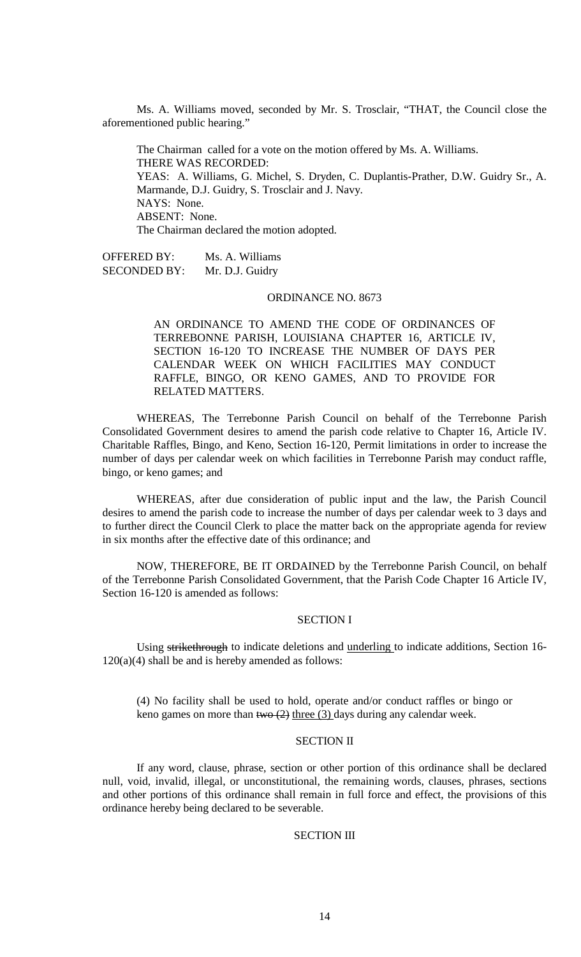Ms. A. Williams moved, seconded by Mr. S. Trosclair, "THAT, the Council close the aforementioned public hearing."

The Chairman called for a vote on the motion offered by Ms. A. Williams. THERE WAS RECORDED: YEAS: A. Williams, G. Michel, S. Dryden, C. Duplantis-Prather, D.W. Guidry Sr., A. Marmande, D.J. Guidry, S. Trosclair and J. Navy. NAYS: None. ABSENT: None. The Chairman declared the motion adopted.

OFFERED BY: Ms. A. Williams SECONDED BY: Mr. D.J. Guidry

#### ORDINANCE NO. 8673

AN ORDINANCE TO AMEND THE CODE OF ORDINANCES OF TERREBONNE PARISH, LOUISIANA CHAPTER 16, ARTICLE IV, SECTION 16-120 TO INCREASE THE NUMBER OF DAYS PER CALENDAR WEEK ON WHICH FACILITIES MAY CONDUCT RAFFLE, BINGO, OR KENO GAMES, AND TO PROVIDE FOR RELATED MATTERS.

WHEREAS, The Terrebonne Parish Council on behalf of the Terrebonne Parish Consolidated Government desires to amend the parish code relative to Chapter 16, Article IV. Charitable Raffles, Bingo, and Keno, Section 16-120, Permit limitations in order to increase the number of days per calendar week on which facilities in Terrebonne Parish may conduct raffle, bingo, or keno games; and

WHEREAS, after due consideration of public input and the law, the Parish Council desires to amend the parish code to increase the number of days per calendar week to 3 days and to further direct the Council Clerk to place the matter back on the appropriate agenda for review in six months after the effective date of this ordinance; and

NOW, THEREFORE, BE IT ORDAINED by the Terrebonne Parish Council, on behalf of the Terrebonne Parish Consolidated Government, that the Parish Code Chapter 16 Article IV, Section 16-120 is amended as follows:

## SECTION I

Using strikethrough to indicate deletions and underling to indicate additions, Section 16-  $120(a)(4)$  shall be and is hereby amended as follows:

(4) No facility shall be used to hold, operate and/or conduct raffles or bingo or keno games on more than two  $(2)$  three  $(3)$  days during any calendar week.

## SECTION II

If any word, clause, phrase, section or other portion of this ordinance shall be declared null, void, invalid, illegal, or unconstitutional, the remaining words, clauses, phrases, sections and other portions of this ordinance shall remain in full force and effect, the provisions of this ordinance hereby being declared to be severable.

### SECTION III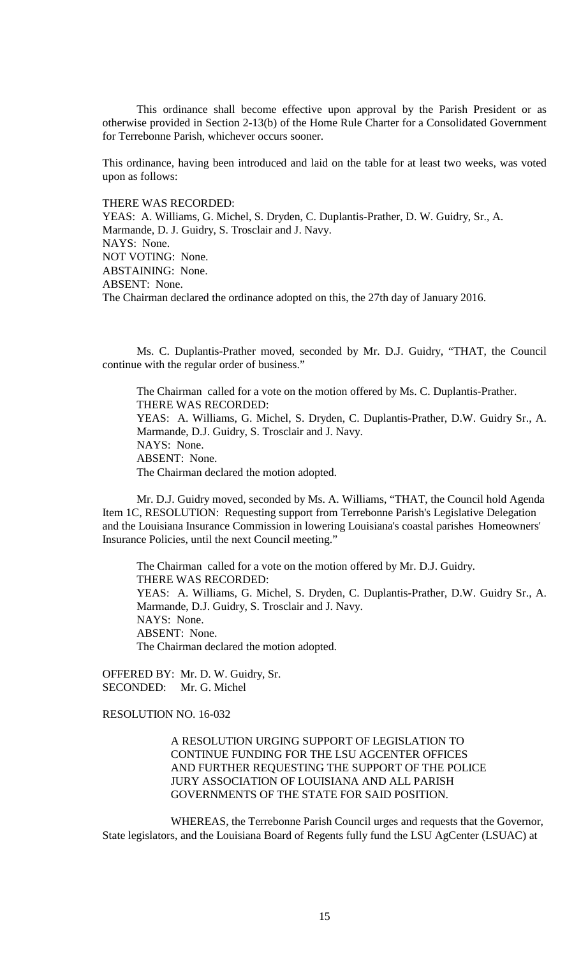This ordinance shall become effective upon approval by the Parish President or as otherwise provided in Section 2-13(b) of the Home Rule Charter for a Consolidated Government for Terrebonne Parish, whichever occurs sooner.

This ordinance, having been introduced and laid on the table for at least two weeks, was voted upon as follows:

THERE WAS RECORDED:

YEAS: A. Williams, G. Michel, S. Dryden, C. Duplantis-Prather, D. W. Guidry, Sr., A. Marmande, D. J. Guidry, S. Trosclair and J. Navy. NAYS: None. NOT VOTING: None. ABSTAINING: None. ABSENT: None. The Chairman declared the ordinance adopted on this, the 27th day of January 2016.

Ms. C. Duplantis-Prather moved, seconded by Mr. D.J. Guidry, "THAT, the Council continue with the regular order of business."

The Chairman called for a vote on the motion offered by Ms. C. Duplantis-Prather. THERE WAS RECORDED: YEAS: A. Williams, G. Michel, S. Dryden, C. Duplantis-Prather, D.W. Guidry Sr., A. Marmande, D.J. Guidry, S. Trosclair and J. Navy. NAYS: None. ABSENT: None. The Chairman declared the motion adopted.

Mr. D.J. Guidry moved, seconded by Ms. A. Williams, "THAT, the Council hold Agenda Item 1C, RESOLUTION: Requesting support from Terrebonne Parish's Legislative Delegation and the Louisiana Insurance Commission in lowering Louisiana's coastal parishes Homeowners' Insurance Policies, until the next Council meeting."

The Chairman called for a vote on the motion offered by Mr. D.J. Guidry. THERE WAS RECORDED: YEAS: A. Williams, G. Michel, S. Dryden, C. Duplantis-Prather, D.W. Guidry Sr., A. Marmande, D.J. Guidry, S. Trosclair and J. Navy. NAYS: None. ABSENT: None. The Chairman declared the motion adopted.

OFFERED BY: Mr. D. W. Guidry, Sr. SECONDED: Mr. G. Michel

RESOLUTION NO. 16-032

A RESOLUTION URGING SUPPORT OF LEGISLATION TO CONTINUE FUNDING FOR THE LSU AGCENTER OFFICES AND FURTHER REQUESTING THE SUPPORT OF THE POLICE JURY ASSOCIATION OF LOUISIANA AND ALL PARISH GOVERNMENTS OF THE STATE FOR SAID POSITION.

WHEREAS, the Terrebonne Parish Council urges and requests that the Governor, State legislators, and the Louisiana Board of Regents fully fund the LSU AgCenter (LSUAC) at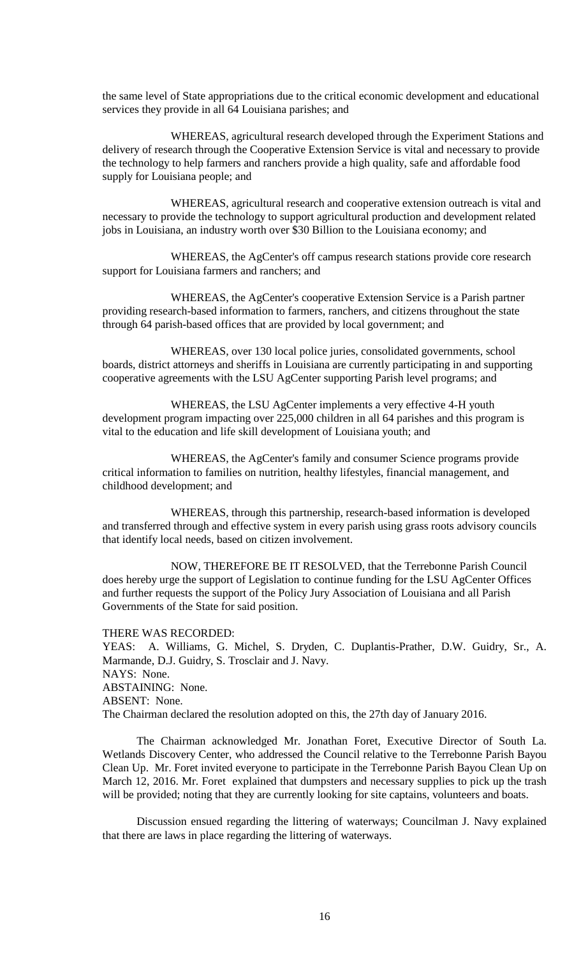the same level of State appropriations due to the critical economic development and educational services they provide in all 64 Louisiana parishes; and

WHEREAS, agricultural research developed through the Experiment Stations and delivery of research through the Cooperative Extension Service is vital and necessary to provide the technology to help farmers and ranchers provide a high quality, safe and affordable food supply for Louisiana people; and

WHEREAS, agricultural research and cooperative extension outreach is vital and necessary to provide the technology to support agricultural production and development related jobs in Louisiana, an industry worth over \$30 Billion to the Louisiana economy; and

WHEREAS, the AgCenter's off campus research stations provide core research support for Louisiana farmers and ranchers; and

WHEREAS, the AgCenter's cooperative Extension Service is a Parish partner providing research-based information to farmers, ranchers, and citizens throughout the state through 64 parish-based offices that are provided by local government; and

WHEREAS, over 130 local police juries, consolidated governments, school boards, district attorneys and sheriffs in Louisiana are currently participating in and supporting cooperative agreements with the LSU AgCenter supporting Parish level programs; and

WHEREAS, the LSU AgCenter implements a very effective 4-H youth development program impacting over 225,000 children in all 64 parishes and this program is vital to the education and life skill development of Louisiana youth; and

WHEREAS, the AgCenter's family and consumer Science programs provide critical information to families on nutrition, healthy lifestyles, financial management, and childhood development; and

WHEREAS, through this partnership, research-based information is developed and transferred through and effective system in every parish using grass roots advisory councils that identify local needs, based on citizen involvement.

NOW, THEREFORE BE IT RESOLVED, that the Terrebonne Parish Council does hereby urge the support of Legislation to continue funding for the LSU AgCenter Offices and further requests the support of the Policy Jury Association of Louisiana and all Parish Governments of the State for said position.

#### THERE WAS RECORDED:

YEAS: A. Williams, G. Michel, S. Dryden, C. Duplantis-Prather, D.W. Guidry, Sr., A. Marmande, D.J. Guidry, S. Trosclair and J. Navy. NAYS: None. ABSTAINING: None. ABSENT: None. The Chairman declared the resolution adopted on this, the 27th day of January 2016.

The Chairman acknowledged Mr. Jonathan Foret, Executive Director of South La. Wetlands Discovery Center, who addressed the Council relative to the Terrebonne Parish Bayou Clean Up. Mr. Foret invited everyone to participate in the Terrebonne Parish Bayou Clean Up on March 12, 2016. Mr. Foret explained that dumpsters and necessary supplies to pick up the trash will be provided; noting that they are currently looking for site captains, volunteers and boats.

Discussion ensued regarding the littering of waterways; Councilman J. Navy explained that there are laws in place regarding the littering of waterways.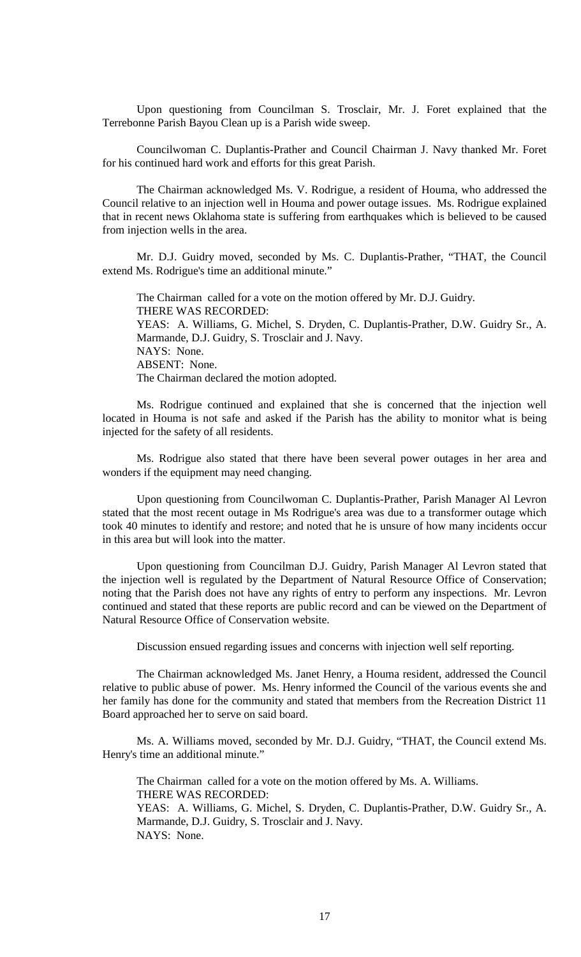Upon questioning from Councilman S. Trosclair, Mr. J. Foret explained that the Terrebonne Parish Bayou Clean up is a Parish wide sweep.

Councilwoman C. Duplantis-Prather and Council Chairman J. Navy thanked Mr. Foret for his continued hard work and efforts for this great Parish.

The Chairman acknowledged Ms. V. Rodrigue, a resident of Houma, who addressed the Council relative to an injection well in Houma and power outage issues. Ms. Rodrigue explained that in recent news Oklahoma state is suffering from earthquakes which is believed to be caused from injection wells in the area.

Mr. D.J. Guidry moved, seconded by Ms. C. Duplantis-Prather, "THAT, the Council extend Ms. Rodrigue's time an additional minute."

The Chairman called for a vote on the motion offered by Mr. D.J. Guidry. THERE WAS RECORDED: YEAS: A. Williams, G. Michel, S. Dryden, C. Duplantis-Prather, D.W. Guidry Sr., A. Marmande, D.J. Guidry, S. Trosclair and J. Navy. NAYS: None. ABSENT: None. The Chairman declared the motion adopted.

Ms. Rodrigue continued and explained that she is concerned that the injection well located in Houma is not safe and asked if the Parish has the ability to monitor what is being injected for the safety of all residents.

Ms. Rodrigue also stated that there have been several power outages in her area and wonders if the equipment may need changing.

Upon questioning from Councilwoman C. Duplantis-Prather, Parish Manager Al Levron stated that the most recent outage in Ms Rodrigue's area was due to a transformer outage which took 40 minutes to identify and restore; and noted that he is unsure of how many incidents occur in this area but will look into the matter.

Upon questioning from Councilman D.J. Guidry, Parish Manager Al Levron stated that the injection well is regulated by the Department of Natural Resource Office of Conservation; noting that the Parish does not have any rights of entry to perform any inspections. Mr. Levron continued and stated that these reports are public record and can be viewed on the Department of Natural Resource Office of Conservation website.

Discussion ensued regarding issues and concerns with injection well self reporting.

The Chairman acknowledged Ms. Janet Henry, a Houma resident, addressed the Council relative to public abuse of power. Ms. Henry informed the Council of the various events she and her family has done for the community and stated that members from the Recreation District 11 Board approached her to serve on said board.

Ms. A. Williams moved, seconded by Mr. D.J. Guidry, "THAT, the Council extend Ms. Henry's time an additional minute."

The Chairman called for a vote on the motion offered by Ms. A. Williams. THERE WAS RECORDED: YEAS: A. Williams, G. Michel, S. Dryden, C. Duplantis-Prather, D.W. Guidry Sr., A. Marmande, D.J. Guidry, S. Trosclair and J. Navy. NAYS: None.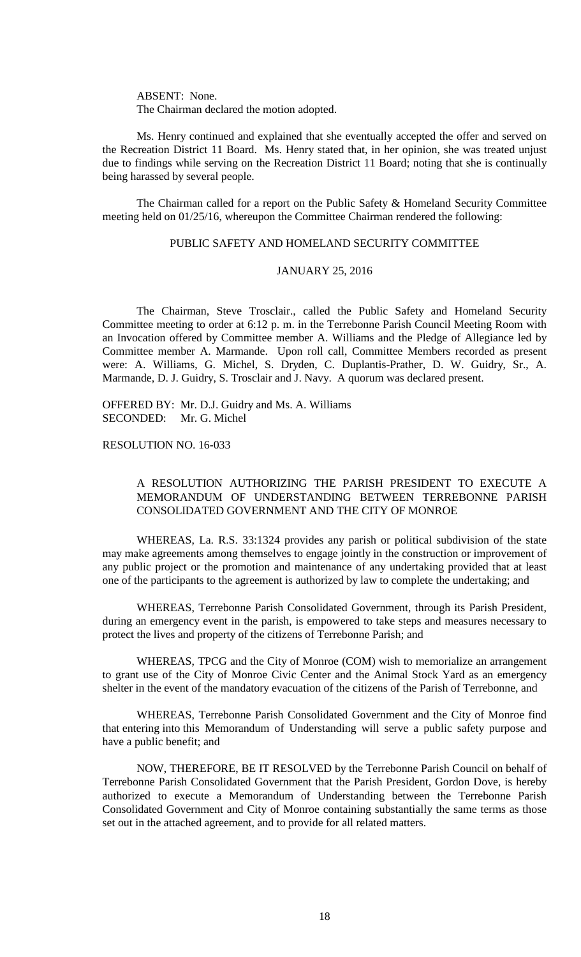ABSENT: None. The Chairman declared the motion adopted.

Ms. Henry continued and explained that she eventually accepted the offer and served on the Recreation District 11 Board. Ms. Henry stated that, in her opinion, she was treated unjust due to findings while serving on the Recreation District 11 Board; noting that she is continually being harassed by several people.

The Chairman called for a report on the Public Safety & Homeland Security Committee meeting held on 01/25/16, whereupon the Committee Chairman rendered the following:

## PUBLIC SAFETY AND HOMELAND SECURITY COMMITTEE

## JANUARY 25, 2016

The Chairman, Steve Trosclair., called the Public Safety and Homeland Security Committee meeting to order at 6:12 p. m. in the Terrebonne Parish Council Meeting Room with an Invocation offered by Committee member A. Williams and the Pledge of Allegiance led by Committee member A. Marmande. Upon roll call, Committee Members recorded as present were: A. Williams, G. Michel, S. Dryden, C. Duplantis-Prather, D. W. Guidry, Sr., A. Marmande, D. J. Guidry, S. Trosclair and J. Navy. A quorum was declared present.

OFFERED BY: Mr. D.J. Guidry and Ms. A. Williams SECONDED: Mr. G. Michel

RESOLUTION NO. 16-033

## A RESOLUTION AUTHORIZING THE PARISH PRESIDENT TO EXECUTE A MEMORANDUM OF UNDERSTANDING BETWEEN TERREBONNE PARISH CONSOLIDATED GOVERNMENT AND THE CITY OF MONROE

WHEREAS, La. R.S. 33:1324 provides any parish or political subdivision of the state may make agreements among themselves to engage jointly in the construction or improvement of any public project or the promotion and maintenance of any undertaking provided that at least one of the participants to the agreement is authorized by law to complete the undertaking; and

WHEREAS, Terrebonne Parish Consolidated Government, through its Parish President, during an emergency event in the parish, is empowered to take steps and measures necessary to protect the lives and property of the citizens of Terrebonne Parish; and

WHEREAS, TPCG and the City of Monroe (COM) wish to memorialize an arrangement to grant use of the City of Monroe Civic Center and the Animal Stock Yard as an emergency shelter in the event of the mandatory evacuation of the citizens of the Parish of Terrebonne, and

WHEREAS, Terrebonne Parish Consolidated Government and the City of Monroe find that entering into this Memorandum of Understanding will serve a public safety purpose and have a public benefit; and

NOW, THEREFORE, BE IT RESOLVED by the Terrebonne Parish Council on behalf of Terrebonne Parish Consolidated Government that the Parish President, Gordon Dove, is hereby authorized to execute a Memorandum of Understanding between the Terrebonne Parish Consolidated Government and City of Monroe containing substantially the same terms as those set out in the attached agreement, and to provide for all related matters.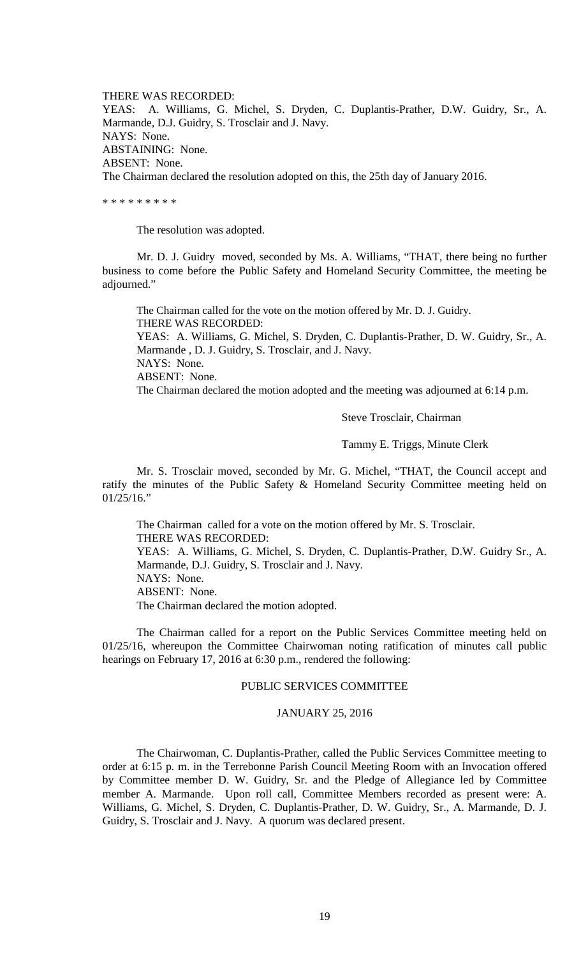THERE WAS RECORDED: YEAS: A. Williams, G. Michel, S. Dryden, C. Duplantis-Prather, D.W. Guidry, Sr., A. Marmande, D.J. Guidry, S. Trosclair and J. Navy. NAYS: None. ABSTAINING: None. ABSENT: None. The Chairman declared the resolution adopted on this, the 25th day of January 2016.

\* \* \* \* \* \* \* \* \*

The resolution was adopted.

Mr. D. J. Guidry moved, seconded by Ms. A. Williams, "THAT, there being no further business to come before the Public Safety and Homeland Security Committee, the meeting be adjourned."

The Chairman called for the vote on the motion offered by Mr. D. J. Guidry. THERE WAS RECORDED: YEAS: A. Williams, G. Michel, S. Dryden, C. Duplantis-Prather, D. W. Guidry, Sr., A. Marmande , D. J. Guidry, S. Trosclair, and J. Navy. NAYS: None. ABSENT: None. The Chairman declared the motion adopted and the meeting was adjourned at 6:14 p.m.

Steve Trosclair, Chairman

Tammy E. Triggs, Minute Clerk

Mr. S. Trosclair moved, seconded by Mr. G. Michel, "THAT, the Council accept and ratify the minutes of the Public Safety & Homeland Security Committee meeting held on 01/25/16."

The Chairman called for a vote on the motion offered by Mr. S. Trosclair. THERE WAS RECORDED: YEAS: A. Williams, G. Michel, S. Dryden, C. Duplantis-Prather, D.W. Guidry Sr., A. Marmande, D.J. Guidry, S. Trosclair and J. Navy. NAYS: None. ABSENT: None. The Chairman declared the motion adopted.

The Chairman called for a report on the Public Services Committee meeting held on 01/25/16, whereupon the Committee Chairwoman noting ratification of minutes call public hearings on February 17, 2016 at 6:30 p.m., rendered the following:

## PUBLIC SERVICES COMMITTEE

## JANUARY 25, 2016

The Chairwoman, C. Duplantis-Prather, called the Public Services Committee meeting to order at 6:15 p. m. in the Terrebonne Parish Council Meeting Room with an Invocation offered by Committee member D. W. Guidry, Sr. and the Pledge of Allegiance led by Committee member A. Marmande. Upon roll call, Committee Members recorded as present were: A. Williams, G. Michel, S. Dryden, C. Duplantis-Prather, D. W. Guidry, Sr., A. Marmande, D. J. Guidry, S. Trosclair and J. Navy. A quorum was declared present.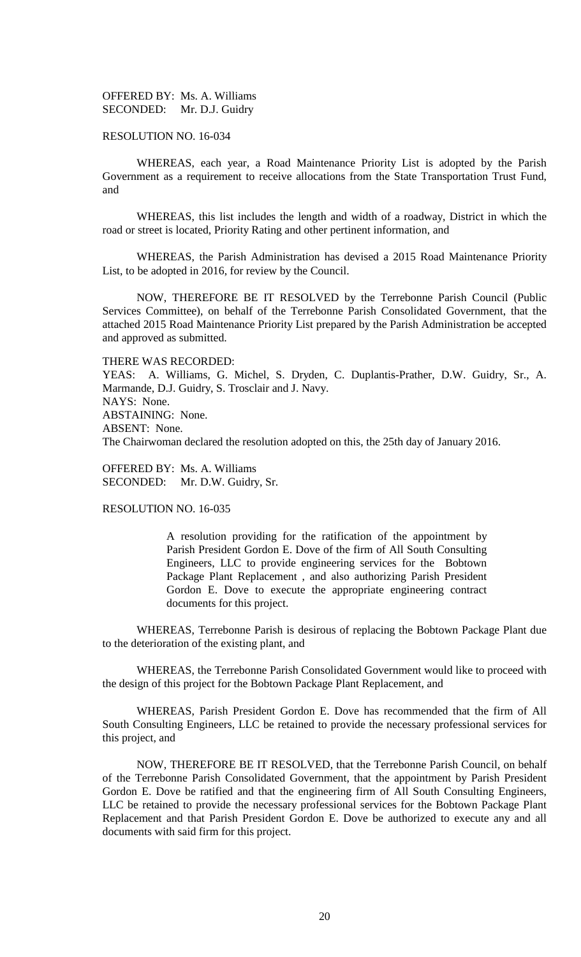## OFFERED BY: Ms. A. Williams SECONDED: Mr. D.J. Guidry

### RESOLUTION NO. 16-034

WHEREAS, each year, a Road Maintenance Priority List is adopted by the Parish Government as a requirement to receive allocations from the State Transportation Trust Fund, and

WHEREAS, this list includes the length and width of a roadway, District in which the road or street is located, Priority Rating and other pertinent information, and

WHEREAS, the Parish Administration has devised a 2015 Road Maintenance Priority List, to be adopted in 2016, for review by the Council.

NOW, THEREFORE BE IT RESOLVED by the Terrebonne Parish Council (Public Services Committee), on behalf of the Terrebonne Parish Consolidated Government, that the attached 2015 Road Maintenance Priority List prepared by the Parish Administration be accepted and approved as submitted.

#### THERE WAS RECORDED:

YEAS: A. Williams, G. Michel, S. Dryden, C. Duplantis-Prather, D.W. Guidry, Sr., A. Marmande, D.J. Guidry, S. Trosclair and J. Navy. NAYS: None. ABSTAINING: None. ABSENT: None. The Chairwoman declared the resolution adopted on this, the 25th day of January 2016.

OFFERED BY: Ms. A. Williams SECONDED: Mr. D.W. Guidry, Sr.

## RESOLUTION NO. 16-035

A resolution providing for the ratification of the appointment by Parish President Gordon E. Dove of the firm of All South Consulting Engineers, LLC to provide engineering services for the Bobtown Package Plant Replacement , and also authorizing Parish President Gordon E. Dove to execute the appropriate engineering contract documents for this project.

WHEREAS, Terrebonne Parish is desirous of replacing the Bobtown Package Plant due to the deterioration of the existing plant, and

WHEREAS, the Terrebonne Parish Consolidated Government would like to proceed with the design of this project for the Bobtown Package Plant Replacement, and

WHEREAS, Parish President Gordon E. Dove has recommended that the firm of All South Consulting Engineers, LLC be retained to provide the necessary professional services for this project, and

NOW, THEREFORE BE IT RESOLVED, that the Terrebonne Parish Council, on behalf of the Terrebonne Parish Consolidated Government, that the appointment by Parish President Gordon E. Dove be ratified and that the engineering firm of All South Consulting Engineers, LLC be retained to provide the necessary professional services for the Bobtown Package Plant Replacement and that Parish President Gordon E. Dove be authorized to execute any and all documents with said firm for this project.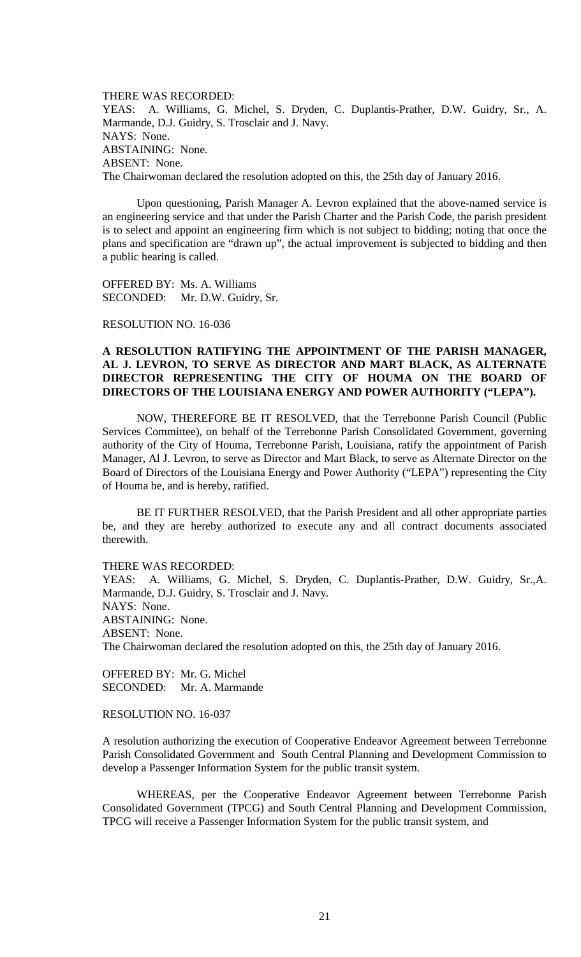THERE WAS RECORDED: YEAS: A. Williams, G. Michel, S. Dryden, C. Duplantis-Prather, D.W. Guidry, Sr., A. Marmande, D.J. Guidry, S. Trosclair and J. Navy. NAYS: None. ABSTAINING: None. ABSENT: None. The Chairwoman declared the resolution adopted on this, the 25th day of January 2016.

Upon questioning, Parish Manager A. Levron explained that the above-named service is an engineering service and that under the Parish Charter and the Parish Code, the parish president is to select and appoint an engineering firm which is not subject to bidding; noting that once the plans and specification are "drawn up", the actual improvement is subjected to bidding and then a public hearing is called.

OFFERED BY: Ms. A. Williams SECONDED: Mr. D.W. Guidry, Sr.

RESOLUTION NO. 16-036

## **A RESOLUTION RATIFYING THE APPOINTMENT OF THE PARISH MANAGER, AL J. LEVRON, TO SERVE AS DIRECTOR AND MART BLACK, AS ALTERNATE DIRECTOR REPRESENTING THE CITY OF HOUMA ON THE BOARD OF DIRECTORS OF THE LOUISIANA ENERGY AND POWER AUTHORITY ("LEPA").**

NOW, THEREFORE BE IT RESOLVED, that the Terrebonne Parish Council (Public Services Committee), on behalf of the Terrebonne Parish Consolidated Government, governing authority of the City of Houma, Terrebonne Parish, Louisiana, ratify the appointment of Parish Manager, Al J. Levron, to serve as Director and Mart Black, to serve as Alternate Director on the Board of Directors of the Louisiana Energy and Power Authority ("LEPA") representing the City of Houma be, and is hereby, ratified.

BE IT FURTHER RESOLVED, that the Parish President and all other appropriate parties be, and they are hereby authorized to execute any and all contract documents associated therewith.

THERE WAS RECORDED:

YEAS: A. Williams, G. Michel, S. Dryden, C. Duplantis-Prather, D.W. Guidry, Sr.,A. Marmande, D.J. Guidry, S. Trosclair and J. Navy. NAYS: None. ABSTAINING: None. ABSENT: None. The Chairwoman declared the resolution adopted on this, the 25th day of January 2016.

OFFERED BY: Mr. G. Michel SECONDED: Mr. A. Marmande

RESOLUTION NO. 16-037

A resolution authorizing the execution of Cooperative Endeavor Agreement between Terrebonne Parish Consolidated Government and South Central Planning and Development Commission to develop a Passenger Information System for the public transit system.

WHEREAS, per the Cooperative Endeavor Agreement between Terrebonne Parish Consolidated Government (TPCG) and South Central Planning and Development Commission, TPCG will receive a Passenger Information System for the public transit system, and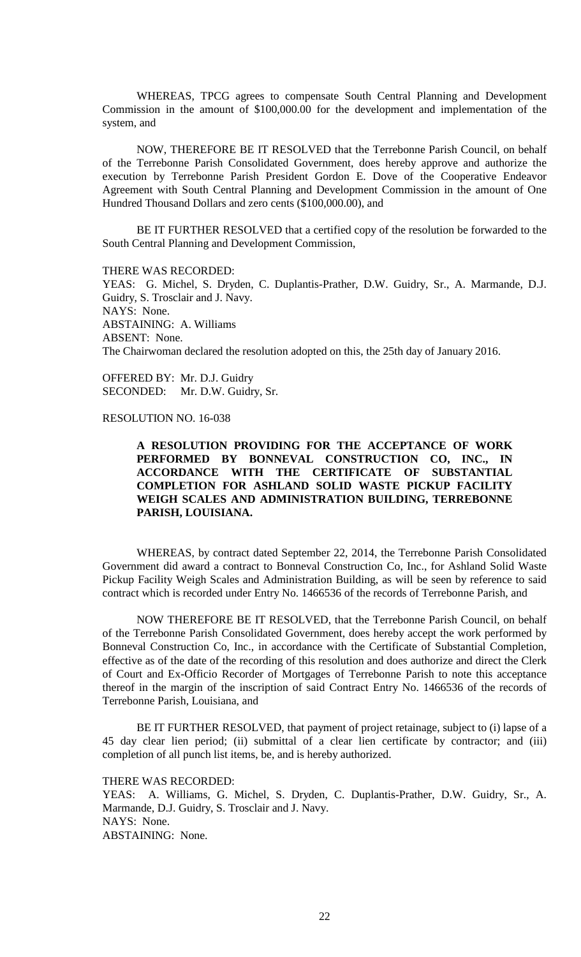WHEREAS, TPCG agrees to compensate South Central Planning and Development Commission in the amount of \$100,000.00 for the development and implementation of the system, and

NOW, THEREFORE BE IT RESOLVED that the Terrebonne Parish Council, on behalf of the Terrebonne Parish Consolidated Government, does hereby approve and authorize the execution by Terrebonne Parish President Gordon E. Dove of the Cooperative Endeavor Agreement with South Central Planning and Development Commission in the amount of One Hundred Thousand Dollars and zero cents (\$100,000.00), and

BE IT FURTHER RESOLVED that a certified copy of the resolution be forwarded to the South Central Planning and Development Commission,

THERE WAS RECORDED:

YEAS: G. Michel, S. Dryden, C. Duplantis-Prather, D.W. Guidry, Sr., A. Marmande, D.J. Guidry, S. Trosclair and J. Navy. NAYS: None. ABSTAINING: A. Williams ABSENT: None. The Chairwoman declared the resolution adopted on this, the 25th day of January 2016.

OFFERED BY: Mr. D.J. Guidry SECONDED: Mr. D.W. Guidry, Sr.

## RESOLUTION NO. 16-038

## **A RESOLUTION PROVIDING FOR THE ACCEPTANCE OF WORK PERFORMED BY BONNEVAL CONSTRUCTION CO, INC., IN ACCORDANCE WITH THE CERTIFICATE OF SUBSTANTIAL COMPLETION FOR ASHLAND SOLID WASTE PICKUP FACILITY WEIGH SCALES AND ADMINISTRATION BUILDING, TERREBONNE PARISH, LOUISIANA.**

WHEREAS, by contract dated September 22, 2014, the Terrebonne Parish Consolidated Government did award a contract to Bonneval Construction Co, Inc., for Ashland Solid Waste Pickup Facility Weigh Scales and Administration Building, as will be seen by reference to said contract which is recorded under Entry No. 1466536 of the records of Terrebonne Parish, and

NOW THEREFORE BE IT RESOLVED, that the Terrebonne Parish Council, on behalf of the Terrebonne Parish Consolidated Government, does hereby accept the work performed by Bonneval Construction Co, Inc., in accordance with the Certificate of Substantial Completion, effective as of the date of the recording of this resolution and does authorize and direct the Clerk of Court and Ex-Officio Recorder of Mortgages of Terrebonne Parish to note this acceptance thereof in the margin of the inscription of said Contract Entry No. 1466536 of the records of Terrebonne Parish, Louisiana, and

BE IT FURTHER RESOLVED, that payment of project retainage, subject to (i) lapse of a 45 day clear lien period; (ii) submittal of a clear lien certificate by contractor; and (iii) completion of all punch list items, be, and is hereby authorized.

THERE WAS RECORDED:

YEAS: A. Williams, G. Michel, S. Dryden, C. Duplantis-Prather, D.W. Guidry, Sr., A. Marmande, D.J. Guidry, S. Trosclair and J. Navy. NAYS: None. ABSTAINING: None.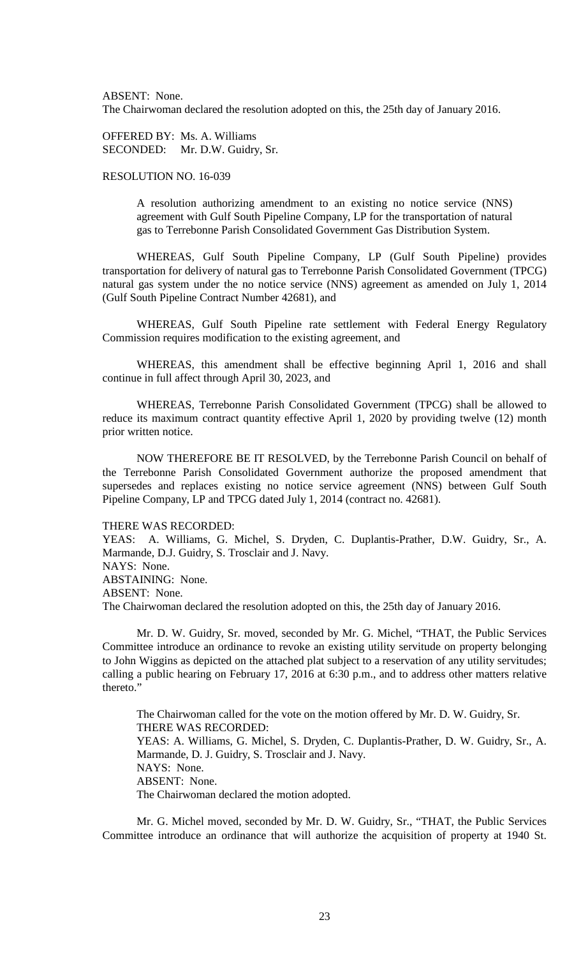ABSENT: None.

The Chairwoman declared the resolution adopted on this, the 25th day of January 2016.

OFFERED BY: Ms. A. Williams SECONDED: Mr. D.W. Guidry, Sr.

## RESOLUTION NO. 16-039

A resolution authorizing amendment to an existing no notice service (NNS) agreement with Gulf South Pipeline Company, LP for the transportation of natural gas to Terrebonne Parish Consolidated Government Gas Distribution System.

WHEREAS, Gulf South Pipeline Company, LP (Gulf South Pipeline) provides transportation for delivery of natural gas to Terrebonne Parish Consolidated Government (TPCG) natural gas system under the no notice service (NNS) agreement as amended on July 1, 2014 (Gulf South Pipeline Contract Number 42681), and

WHEREAS, Gulf South Pipeline rate settlement with Federal Energy Regulatory Commission requires modification to the existing agreement, and

WHEREAS, this amendment shall be effective beginning April 1, 2016 and shall continue in full affect through April 30, 2023, and

WHEREAS, Terrebonne Parish Consolidated Government (TPCG) shall be allowed to reduce its maximum contract quantity effective April 1, 2020 by providing twelve (12) month prior written notice.

NOW THEREFORE BE IT RESOLVED, by the Terrebonne Parish Council on behalf of the Terrebonne Parish Consolidated Government authorize the proposed amendment that supersedes and replaces existing no notice service agreement (NNS) between Gulf South Pipeline Company, LP and TPCG dated July 1, 2014 (contract no. 42681).

#### THERE WAS RECORDED:

YEAS: A. Williams, G. Michel, S. Dryden, C. Duplantis-Prather, D.W. Guidry, Sr., A. Marmande, D.J. Guidry, S. Trosclair and J. Navy. NAYS: None. ABSTAINING: None. ABSENT: None.

The Chairwoman declared the resolution adopted on this, the 25th day of January 2016.

Mr. D. W. Guidry, Sr. moved, seconded by Mr. G. Michel, "THAT, the Public Services Committee introduce an ordinance to revoke an existing utility servitude on property belonging to John Wiggins as depicted on the attached plat subject to a reservation of any utility servitudes; calling a public hearing on February 17, 2016 at 6:30 p.m., and to address other matters relative thereto."

The Chairwoman called for the vote on the motion offered by Mr. D. W. Guidry, Sr. THERE WAS RECORDED: YEAS: A. Williams, G. Michel, S. Dryden, C. Duplantis-Prather, D. W. Guidry, Sr., A. Marmande, D. J. Guidry, S. Trosclair and J. Navy. NAYS: None. ABSENT: None. The Chairwoman declared the motion adopted.

Mr. G. Michel moved, seconded by Mr. D. W. Guidry, Sr., "THAT, the Public Services Committee introduce an ordinance that will authorize the acquisition of property at 1940 St.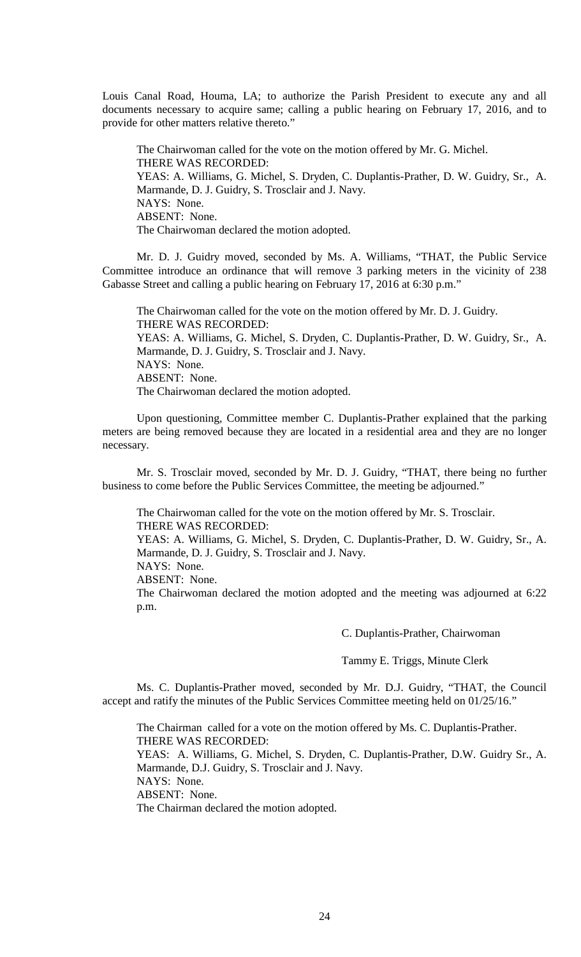Louis Canal Road, Houma, LA; to authorize the Parish President to execute any and all documents necessary to acquire same; calling a public hearing on February 17, 2016, and to provide for other matters relative thereto."

The Chairwoman called for the vote on the motion offered by Mr. G. Michel. THERE WAS RECORDED: YEAS: A. Williams, G. Michel, S. Dryden, C. Duplantis-Prather, D. W. Guidry, Sr., A. Marmande, D. J. Guidry, S. Trosclair and J. Navy. NAYS: None. ABSENT: None. The Chairwoman declared the motion adopted.

Mr. D. J. Guidry moved, seconded by Ms. A. Williams, "THAT, the Public Service Committee introduce an ordinance that will remove 3 parking meters in the vicinity of 238 Gabasse Street and calling a public hearing on February 17, 2016 at 6:30 p.m."

The Chairwoman called for the vote on the motion offered by Mr. D. J. Guidry. THERE WAS RECORDED: YEAS: A. Williams, G. Michel, S. Dryden, C. Duplantis-Prather, D. W. Guidry, Sr., A. Marmande, D. J. Guidry, S. Trosclair and J. Navy. NAYS: None. ABSENT: None. The Chairwoman declared the motion adopted.

Upon questioning, Committee member C. Duplantis-Prather explained that the parking meters are being removed because they are located in a residential area and they are no longer necessary.

Mr. S. Trosclair moved, seconded by Mr. D. J. Guidry, "THAT, there being no further business to come before the Public Services Committee, the meeting be adjourned."

The Chairwoman called for the vote on the motion offered by Mr. S. Trosclair. THERE WAS RECORDED:

YEAS: A. Williams, G. Michel, S. Dryden, C. Duplantis-Prather, D. W. Guidry, Sr., A. Marmande, D. J. Guidry, S. Trosclair and J. Navy.

NAYS: None.

ABSENT: None.

The Chairwoman declared the motion adopted and the meeting was adjourned at 6:22 p.m.

C. Duplantis-Prather, Chairwoman

Tammy E. Triggs, Minute Clerk

Ms. C. Duplantis-Prather moved, seconded by Mr. D.J. Guidry, "THAT, the Council accept and ratify the minutes of the Public Services Committee meeting held on 01/25/16."

The Chairman called for a vote on the motion offered by Ms. C. Duplantis-Prather. THERE WAS RECORDED: YEAS: A. Williams, G. Michel, S. Dryden, C. Duplantis-Prather, D.W. Guidry Sr., A. Marmande, D.J. Guidry, S. Trosclair and J. Navy. NAYS: None. ABSENT: None. The Chairman declared the motion adopted.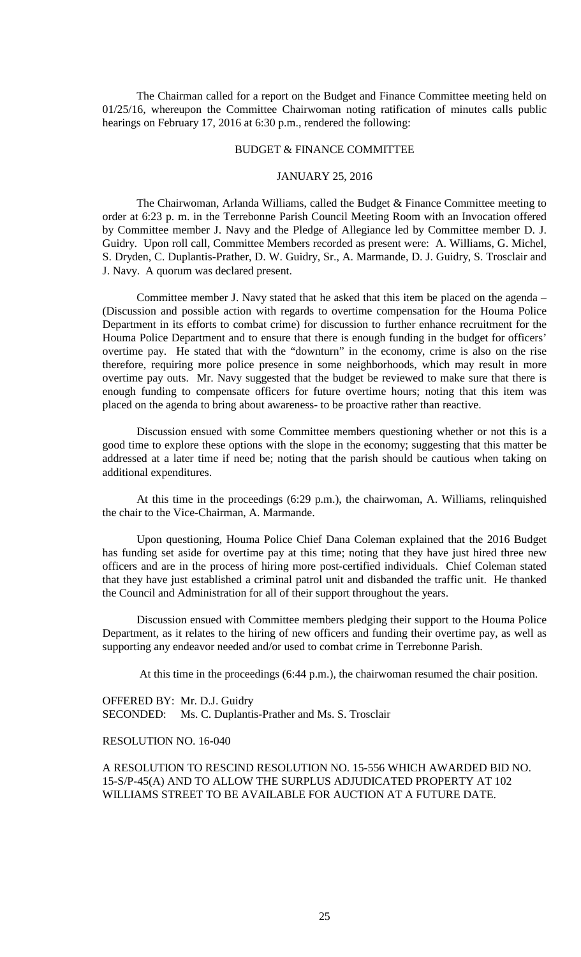The Chairman called for a report on the Budget and Finance Committee meeting held on 01/25/16, whereupon the Committee Chairwoman noting ratification of minutes calls public hearings on February 17, 2016 at 6:30 p.m., rendered the following:

### BUDGET & FINANCE COMMITTEE

## JANUARY 25, 2016

The Chairwoman, Arlanda Williams, called the Budget & Finance Committee meeting to order at 6:23 p. m. in the Terrebonne Parish Council Meeting Room with an Invocation offered by Committee member J. Navy and the Pledge of Allegiance led by Committee member D. J. Guidry. Upon roll call, Committee Members recorded as present were: A. Williams, G. Michel, S. Dryden, C. Duplantis-Prather, D. W. Guidry, Sr., A. Marmande, D. J. Guidry, S. Trosclair and J. Navy. A quorum was declared present.

Committee member J. Navy stated that he asked that this item be placed on the agenda – (Discussion and possible action with regards to overtime compensation for the Houma Police Department in its efforts to combat crime) for discussion to further enhance recruitment for the Houma Police Department and to ensure that there is enough funding in the budget for officers' overtime pay. He stated that with the "downturn" in the economy, crime is also on the rise therefore, requiring more police presence in some neighborhoods, which may result in more overtime pay outs. Mr. Navy suggested that the budget be reviewed to make sure that there is enough funding to compensate officers for future overtime hours; noting that this item was placed on the agenda to bring about awareness- to be proactive rather than reactive.

Discussion ensued with some Committee members questioning whether or not this is a good time to explore these options with the slope in the economy; suggesting that this matter be addressed at a later time if need be; noting that the parish should be cautious when taking on additional expenditures.

At this time in the proceedings (6:29 p.m.), the chairwoman, A. Williams, relinquished the chair to the Vice-Chairman, A. Marmande.

Upon questioning, Houma Police Chief Dana Coleman explained that the 2016 Budget has funding set aside for overtime pay at this time; noting that they have just hired three new officers and are in the process of hiring more post-certified individuals. Chief Coleman stated that they have just established a criminal patrol unit and disbanded the traffic unit. He thanked the Council and Administration for all of their support throughout the years.

Discussion ensued with Committee members pledging their support to the Houma Police Department, as it relates to the hiring of new officers and funding their overtime pay, as well as supporting any endeavor needed and/or used to combat crime in Terrebonne Parish.

At this time in the proceedings (6:44 p.m.), the chairwoman resumed the chair position.

OFFERED BY: Mr. D.J. Guidry SECONDED: Ms. C. Duplantis-Prather and Ms. S. Trosclair

## RESOLUTION NO. 16-040

A RESOLUTION TO RESCIND RESOLUTION NO. 15-556 WHICH AWARDED BID NO. 15-S/P-45(A) AND TO ALLOW THE SURPLUS ADJUDICATED PROPERTY AT 102 WILLIAMS STREET TO BE AVAILABLE FOR AUCTION AT A FUTURE DATE.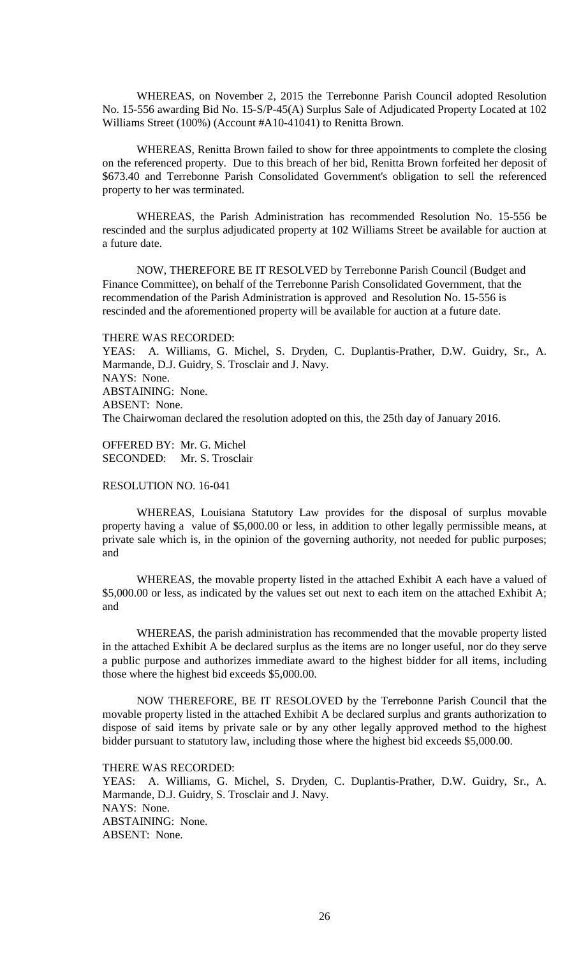WHEREAS, on November 2, 2015 the Terrebonne Parish Council adopted Resolution No. 15-556 awarding Bid No. 15-S/P-45(A) Surplus Sale of Adjudicated Property Located at 102 Williams Street (100%) (Account #A10-41041) to Renitta Brown.

WHEREAS, Renitta Brown failed to show for three appointments to complete the closing on the referenced property. Due to this breach of her bid, Renitta Brown forfeited her deposit of \$673.40 and Terrebonne Parish Consolidated Government's obligation to sell the referenced property to her was terminated.

WHEREAS, the Parish Administration has recommended Resolution No. 15-556 be rescinded and the surplus adjudicated property at 102 Williams Street be available for auction at a future date.

NOW, THEREFORE BE IT RESOLVED by Terrebonne Parish Council (Budget and Finance Committee), on behalf of the Terrebonne Parish Consolidated Government, that the recommendation of the Parish Administration is approved and Resolution No. 15-556 is rescinded and the aforementioned property will be available for auction at a future date.

THERE WAS RECORDED:

YEAS: A. Williams, G. Michel, S. Dryden, C. Duplantis-Prather, D.W. Guidry, Sr., A. Marmande, D.J. Guidry, S. Trosclair and J. Navy. NAYS: None. ABSTAINING: None. ABSENT: None. The Chairwoman declared the resolution adopted on this, the 25th day of January 2016.

OFFERED BY: Mr. G. Michel SECONDED: Mr. S. Trosclair

### RESOLUTION NO. 16-041

WHEREAS, Louisiana Statutory Law provides for the disposal of surplus movable property having a value of \$5,000.00 or less, in addition to other legally permissible means, at private sale which is, in the opinion of the governing authority, not needed for public purposes; and

WHEREAS, the movable property listed in the attached Exhibit A each have a valued of \$5,000.00 or less, as indicated by the values set out next to each item on the attached Exhibit A; and

WHEREAS, the parish administration has recommended that the movable property listed in the attached Exhibit A be declared surplus as the items are no longer useful, nor do they serve a public purpose and authorizes immediate award to the highest bidder for all items, including those where the highest bid exceeds \$5,000.00.

NOW THEREFORE, BE IT RESOLOVED by the Terrebonne Parish Council that the movable property listed in the attached Exhibit A be declared surplus and grants authorization to dispose of said items by private sale or by any other legally approved method to the highest bidder pursuant to statutory law, including those where the highest bid exceeds \$5,000.00.

#### THERE WAS RECORDED:

YEAS: A. Williams, G. Michel, S. Dryden, C. Duplantis-Prather, D.W. Guidry, Sr., A. Marmande, D.J. Guidry, S. Trosclair and J. Navy. NAYS: None. ABSTAINING: None. ABSENT: None.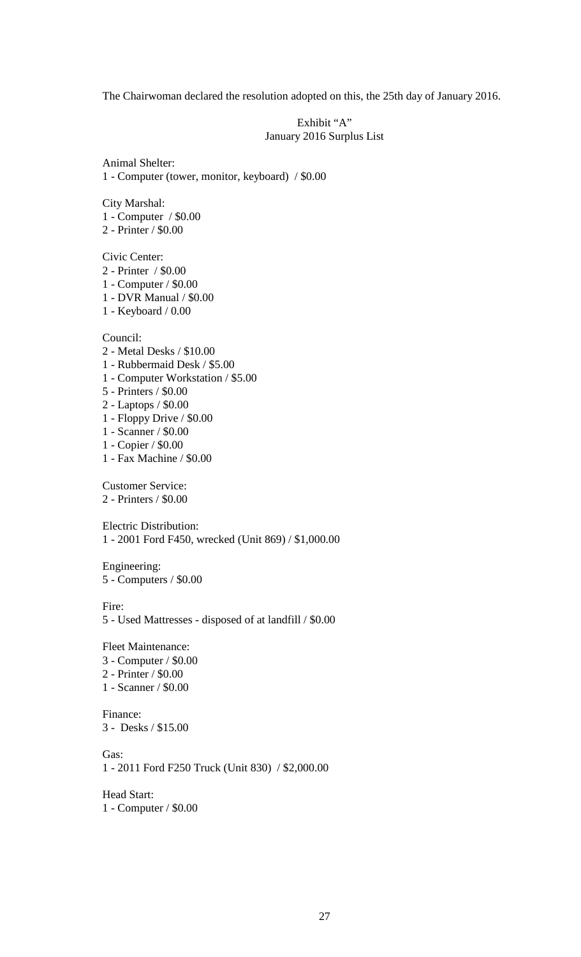The Chairwoman declared the resolution adopted on this, the 25th day of January 2016.

Exhibit "A" January 2016 Surplus List

Animal Shelter: 1 - Computer (tower, monitor, keyboard) / \$0.00

City Marshal:

- 1 Computer / \$0.00
- 2 Printer / \$0.00

Civic Center:

- 2 Printer / \$0.00
- 1 Computer / \$0.00
- 1 DVR Manual / \$0.00
- 1 Keyboard / 0.00

Council:

- 2 Metal Desks / \$10.00
- 1 Rubbermaid Desk / \$5.00
- 1 Computer Workstation / \$5.00
- 5 Printers / \$0.00
- 2 Laptops / \$0.00
- 1 Floppy Drive / \$0.00
- 1 Scanner / \$0.00
- 1 Copier / \$0.00
- 1 Fax Machine / \$0.00

Customer Service: 2 - Printers / \$0.00

Electric Distribution: 1 - 2001 Ford F450, wrecked (Unit 869) / \$1,000.00

Engineering: 5 - Computers / \$0.00

Fire:

5 - Used Mattresses - disposed of at landfill / \$0.00

Fleet Maintenance: 3 - Computer / \$0.00 2 - Printer / \$0.00 1 - Scanner / \$0.00

Finance: 3 - Desks / \$15.00

Gas:

1 - 2011 Ford F250 Truck (Unit 830) / \$2,000.00

Head Start: 1 - Computer / \$0.00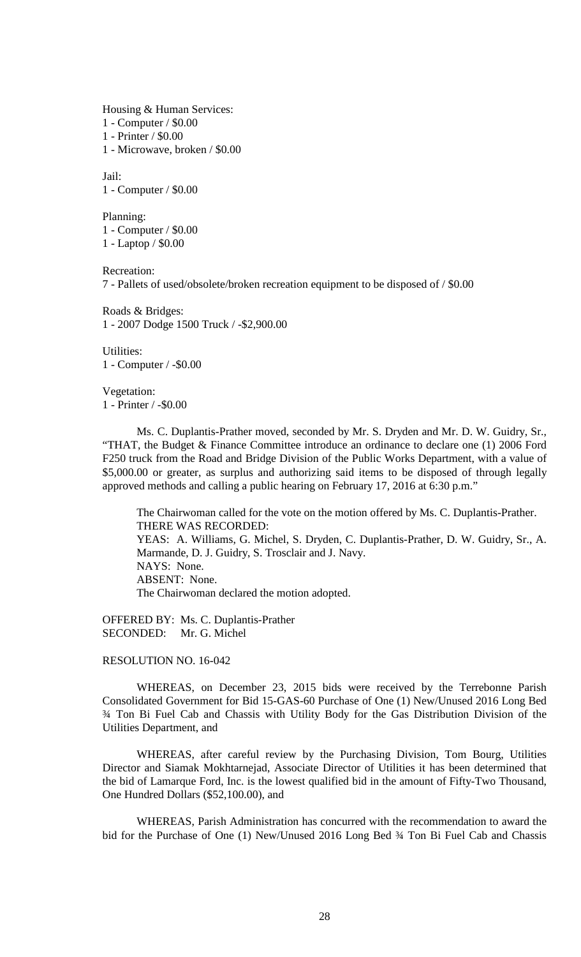Housing & Human Services:

1 - Computer / \$0.00

1 - Printer / \$0.00

1 - Microwave, broken / \$0.00

Jail: 1 - Computer / \$0.00

Planning: 1 - Computer / \$0.00 1 - Laptop / \$0.00

Recreation:

7 - Pallets of used/obsolete/broken recreation equipment to be disposed of / \$0.00

Roads & Bridges: 1 - 2007 Dodge 1500 Truck / -\$2,900.00

Utilities: 1 - Computer / -\$0.00

Vegetation: 1 - Printer / -\$0.00

Ms. C. Duplantis-Prather moved, seconded by Mr. S. Dryden and Mr. D. W. Guidry, Sr., "THAT, the Budget & Finance Committee introduce an ordinance to declare one (1) 2006 Ford F250 truck from the Road and Bridge Division of the Public Works Department, with a value of \$5,000.00 or greater, as surplus and authorizing said items to be disposed of through legally approved methods and calling a public hearing on February 17, 2016 at 6:30 p.m."

The Chairwoman called for the vote on the motion offered by Ms. C. Duplantis-Prather. THERE WAS RECORDED: YEAS: A. Williams, G. Michel, S. Dryden, C. Duplantis-Prather, D. W. Guidry, Sr., A. Marmande, D. J. Guidry, S. Trosclair and J. Navy. NAYS: None. ABSENT: None. The Chairwoman declared the motion adopted.

OFFERED BY: Ms. C. Duplantis-Prather SECONDED: Mr. G. Michel

RESOLUTION NO. 16-042

WHEREAS, on December 23, 2015 bids were received by the Terrebonne Parish Consolidated Government for Bid 15-GAS-60 Purchase of One (1) New/Unused 2016 Long Bed ¾ Ton Bi Fuel Cab and Chassis with Utility Body for the Gas Distribution Division of the Utilities Department, and

WHEREAS, after careful review by the Purchasing Division, Tom Bourg, Utilities Director and Siamak Mokhtarnejad, Associate Director of Utilities it has been determined that the bid of Lamarque Ford, Inc. is the lowest qualified bid in the amount of Fifty-Two Thousand, One Hundred Dollars (\$52,100.00), and

WHEREAS, Parish Administration has concurred with the recommendation to award the bid for the Purchase of One (1) New/Unused 2016 Long Bed 3/4 Ton Bi Fuel Cab and Chassis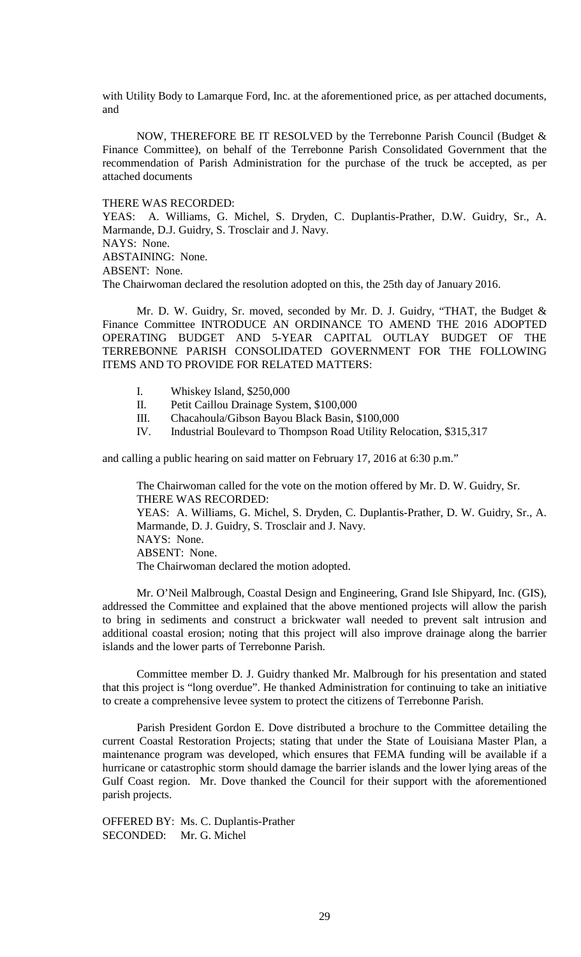with Utility Body to Lamarque Ford, Inc. at the aforementioned price, as per attached documents, and

NOW, THEREFORE BE IT RESOLVED by the Terrebonne Parish Council (Budget & Finance Committee), on behalf of the Terrebonne Parish Consolidated Government that the recommendation of Parish Administration for the purchase of the truck be accepted, as per attached documents

#### THERE WAS RECORDED:

YEAS: A. Williams, G. Michel, S. Dryden, C. Duplantis-Prather, D.W. Guidry, Sr., A. Marmande, D.J. Guidry, S. Trosclair and J. Navy. NAYS: None.

ABSTAINING: None.

ABSENT: None.

The Chairwoman declared the resolution adopted on this, the 25th day of January 2016.

Mr. D. W. Guidry, Sr. moved, seconded by Mr. D. J. Guidry, "THAT, the Budget & Finance Committee INTRODUCE AN ORDINANCE TO AMEND THE 2016 ADOPTED OPERATING BUDGET AND 5-YEAR CAPITAL OUTLAY BUDGET OF THE TERREBONNE PARISH CONSOLIDATED GOVERNMENT FOR THE FOLLOWING ITEMS AND TO PROVIDE FOR RELATED MATTERS:

- I. Whiskey Island, \$250,000
- II. Petit Caillou Drainage System, \$100,000
- III. Chacahoula/Gibson Bayou Black Basin, \$100,000
- IV. Industrial Boulevard to Thompson Road Utility Relocation, \$315,317

and calling a public hearing on said matter on February 17, 2016 at 6:30 p.m."

The Chairwoman called for the vote on the motion offered by Mr. D. W. Guidry, Sr. THERE WAS RECORDED:

YEAS: A. Williams, G. Michel, S. Dryden, C. Duplantis-Prather, D. W. Guidry, Sr., A. Marmande, D. J. Guidry, S. Trosclair and J. Navy. NAYS: None. ABSENT: None. The Chairwoman declared the motion adopted.

Mr. O'Neil Malbrough, Coastal Design and Engineering, Grand Isle Shipyard, Inc. (GIS), addressed the Committee and explained that the above mentioned projects will allow the parish to bring in sediments and construct a brickwater wall needed to prevent salt intrusion and additional coastal erosion; noting that this project will also improve drainage along the barrier islands and the lower parts of Terrebonne Parish.

Committee member D. J. Guidry thanked Mr. Malbrough for his presentation and stated that this project is "long overdue". He thanked Administration for continuing to take an initiative to create a comprehensive levee system to protect the citizens of Terrebonne Parish.

Parish President Gordon E. Dove distributed a brochure to the Committee detailing the current Coastal Restoration Projects; stating that under the State of Louisiana Master Plan, a maintenance program was developed, which ensures that FEMA funding will be available if a hurricane or catastrophic storm should damage the barrier islands and the lower lying areas of the Gulf Coast region. Mr. Dove thanked the Council for their support with the aforementioned parish projects.

OFFERED BY: Ms. C. Duplantis-Prather SECONDED: Mr. G. Michel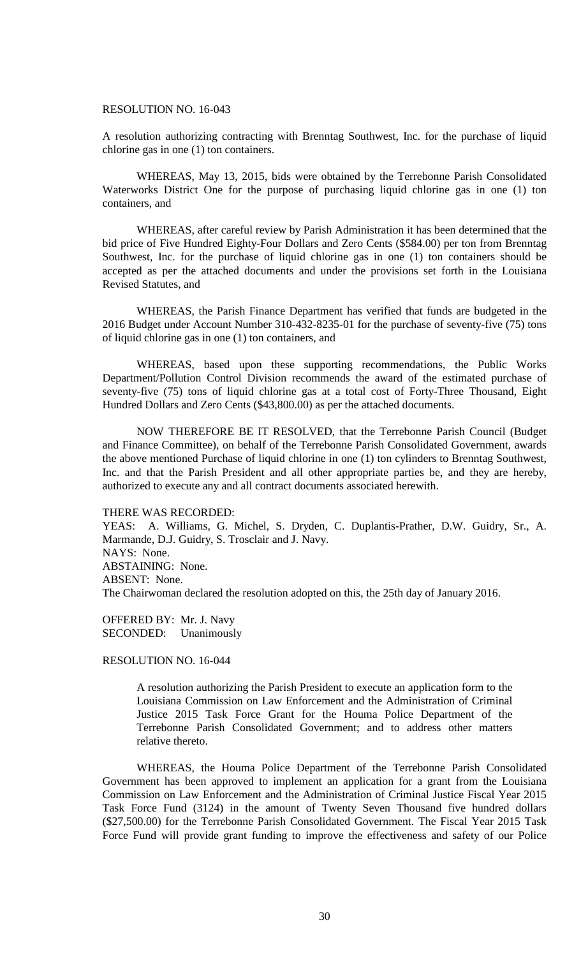### RESOLUTION NO. 16-043

A resolution authorizing contracting with Brenntag Southwest, Inc. for the purchase of liquid chlorine gas in one (1) ton containers.

WHEREAS, May 13, 2015, bids were obtained by the Terrebonne Parish Consolidated Waterworks District One for the purpose of purchasing liquid chlorine gas in one (1) ton containers, and

WHEREAS, after careful review by Parish Administration it has been determined that the bid price of Five Hundred Eighty-Four Dollars and Zero Cents (\$584.00) per ton from Brenntag Southwest, Inc. for the purchase of liquid chlorine gas in one (1) ton containers should be accepted as per the attached documents and under the provisions set forth in the Louisiana Revised Statutes, and

WHEREAS, the Parish Finance Department has verified that funds are budgeted in the 2016 Budget under Account Number 310-432-8235-01 for the purchase of seventy-five (75) tons of liquid chlorine gas in one (1) ton containers, and

WHEREAS, based upon these supporting recommendations, the Public Works Department/Pollution Control Division recommends the award of the estimated purchase of seventy-five (75) tons of liquid chlorine gas at a total cost of Forty-Three Thousand, Eight Hundred Dollars and Zero Cents (\$43,800.00) as per the attached documents.

NOW THEREFORE BE IT RESOLVED, that the Terrebonne Parish Council (Budget and Finance Committee), on behalf of the Terrebonne Parish Consolidated Government, awards the above mentioned Purchase of liquid chlorine in one (1) ton cylinders to Brenntag Southwest, Inc. and that the Parish President and all other appropriate parties be, and they are hereby, authorized to execute any and all contract documents associated herewith.

#### THERE WAS RECORDED:

YEAS: A. Williams, G. Michel, S. Dryden, C. Duplantis-Prather, D.W. Guidry, Sr., A. Marmande, D.J. Guidry, S. Trosclair and J. Navy. NAYS: None. ABSTAINING: None. ABSENT: None. The Chairwoman declared the resolution adopted on this, the 25th day of January 2016.

OFFERED BY: Mr. J. Navy SECONDED: Unanimously

RESOLUTION NO. 16-044

A resolution authorizing the Parish President to execute an application form to the Louisiana Commission on Law Enforcement and the Administration of Criminal Justice 2015 Task Force Grant for the Houma Police Department of the Terrebonne Parish Consolidated Government; and to address other matters relative thereto.

WHEREAS, the Houma Police Department of the Terrebonne Parish Consolidated Government has been approved to implement an application for a grant from the Louisiana Commission on Law Enforcement and the Administration of Criminal Justice Fiscal Year 2015 Task Force Fund (3124) in the amount of Twenty Seven Thousand five hundred dollars (\$27,500.00) for the Terrebonne Parish Consolidated Government. The Fiscal Year 2015 Task Force Fund will provide grant funding to improve the effectiveness and safety of our Police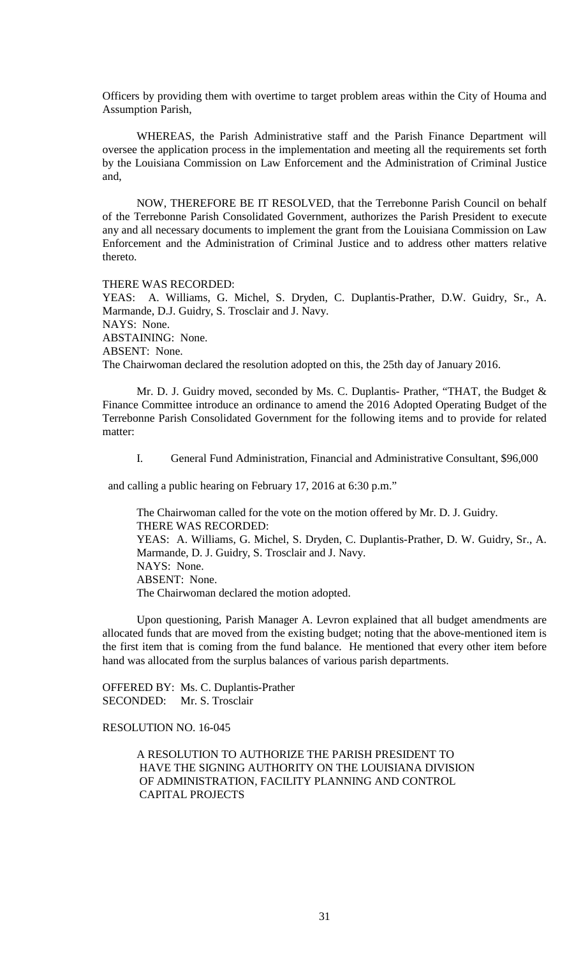Officers by providing them with overtime to target problem areas within the City of Houma and Assumption Parish,

WHEREAS, the Parish Administrative staff and the Parish Finance Department will oversee the application process in the implementation and meeting all the requirements set forth by the Louisiana Commission on Law Enforcement and the Administration of Criminal Justice and,

NOW, THEREFORE BE IT RESOLVED, that the Terrebonne Parish Council on behalf of the Terrebonne Parish Consolidated Government, authorizes the Parish President to execute any and all necessary documents to implement the grant from the Louisiana Commission on Law Enforcement and the Administration of Criminal Justice and to address other matters relative thereto.

THERE WAS RECORDED:

YEAS: A. Williams, G. Michel, S. Dryden, C. Duplantis-Prather, D.W. Guidry, Sr., A. Marmande, D.J. Guidry, S. Trosclair and J. Navy. NAYS: None. ABSTAINING: None.

ABSENT: None.

The Chairwoman declared the resolution adopted on this, the 25th day of January 2016.

Mr. D. J. Guidry moved, seconded by Ms. C. Duplantis- Prather, "THAT, the Budget & Finance Committee introduce an ordinance to amend the 2016 Adopted Operating Budget of the Terrebonne Parish Consolidated Government for the following items and to provide for related matter:

I. General Fund Administration, Financial and Administrative Consultant, \$96,000

and calling a public hearing on February 17, 2016 at 6:30 p.m."

The Chairwoman called for the vote on the motion offered by Mr. D. J. Guidry. THERE WAS RECORDED: YEAS: A. Williams, G. Michel, S. Dryden, C. Duplantis-Prather, D. W. Guidry, Sr., A. Marmande, D. J. Guidry, S. Trosclair and J. Navy. NAYS: None. ABSENT: None. The Chairwoman declared the motion adopted.

Upon questioning, Parish Manager A. Levron explained that all budget amendments are allocated funds that are moved from the existing budget; noting that the above-mentioned item is the first item that is coming from the fund balance. He mentioned that every other item before hand was allocated from the surplus balances of various parish departments.

OFFERED BY: Ms. C. Duplantis-Prather SECONDED: Mr. S. Trosclair

### RESOLUTION NO. 16-045

A RESOLUTION TO AUTHORIZE THE PARISH PRESIDENT TO HAVE THE SIGNING AUTHORITY ON THE LOUISIANA DIVISION OF ADMINISTRATION, FACILITY PLANNING AND CONTROL CAPITAL PROJECTS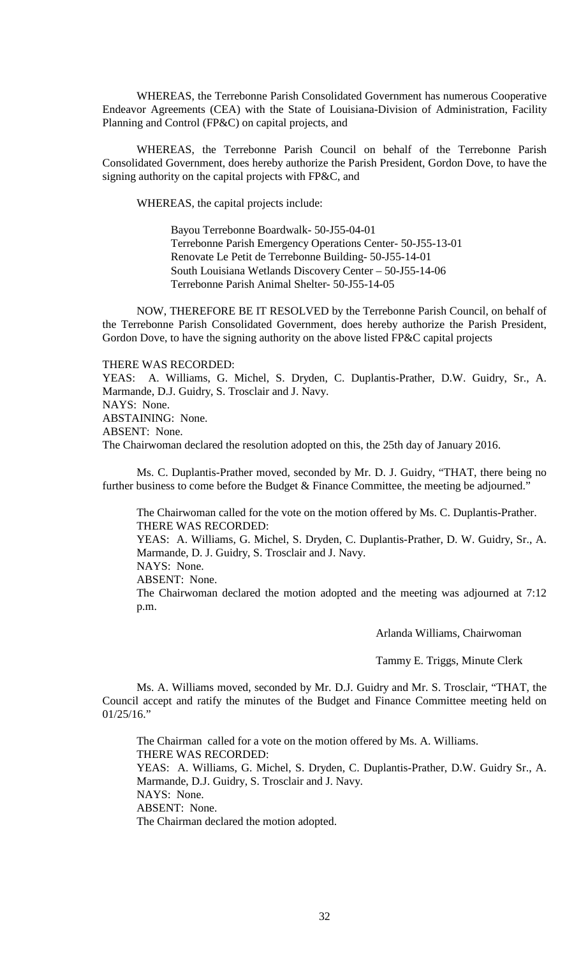WHEREAS, the Terrebonne Parish Consolidated Government has numerous Cooperative Endeavor Agreements (CEA) with the State of Louisiana-Division of Administration, Facility Planning and Control (FP&C) on capital projects, and

WHEREAS, the Terrebonne Parish Council on behalf of the Terrebonne Parish Consolidated Government, does hereby authorize the Parish President, Gordon Dove, to have the signing authority on the capital projects with FP&C, and

WHEREAS, the capital projects include:

Bayou Terrebonne Boardwalk- 50-J55-04-01 Terrebonne Parish Emergency Operations Center- 50-J55-13-01 Renovate Le Petit de Terrebonne Building- 50-J55-14-01 South Louisiana Wetlands Discovery Center – 50-J55-14-06 Terrebonne Parish Animal Shelter- 50-J55-14-05

NOW, THEREFORE BE IT RESOLVED by the Terrebonne Parish Council, on behalf of the Terrebonne Parish Consolidated Government, does hereby authorize the Parish President, Gordon Dove, to have the signing authority on the above listed FP&C capital projects

#### THERE WAS RECORDED:

YEAS: A. Williams, G. Michel, S. Dryden, C. Duplantis-Prather, D.W. Guidry, Sr., A. Marmande, D.J. Guidry, S. Trosclair and J. Navy. NAYS: None. ABSTAINING: None. ABSENT: None. The Chairwoman declared the resolution adopted on this, the 25th day of January 2016.

Ms. C. Duplantis-Prather moved, seconded by Mr. D. J. Guidry, "THAT, there being no further business to come before the Budget & Finance Committee, the meeting be adjourned."

The Chairwoman called for the vote on the motion offered by Ms. C. Duplantis-Prather. THERE WAS RECORDED:

YEAS: A. Williams, G. Michel, S. Dryden, C. Duplantis-Prather, D. W. Guidry, Sr., A. Marmande, D. J. Guidry, S. Trosclair and J. Navy.

NAYS: None.

ABSENT: None.

The Chairwoman declared the motion adopted and the meeting was adjourned at 7:12 p.m.

Arlanda Williams, Chairwoman

Tammy E. Triggs, Minute Clerk

Ms. A. Williams moved, seconded by Mr. D.J. Guidry and Mr. S. Trosclair, "THAT, the Council accept and ratify the minutes of the Budget and Finance Committee meeting held on  $01/25/16."$ 

The Chairman called for a vote on the motion offered by Ms. A. Williams. THERE WAS RECORDED: YEAS: A. Williams, G. Michel, S. Dryden, C. Duplantis-Prather, D.W. Guidry Sr., A. Marmande, D.J. Guidry, S. Trosclair and J. Navy. NAYS: None. ABSENT: None. The Chairman declared the motion adopted.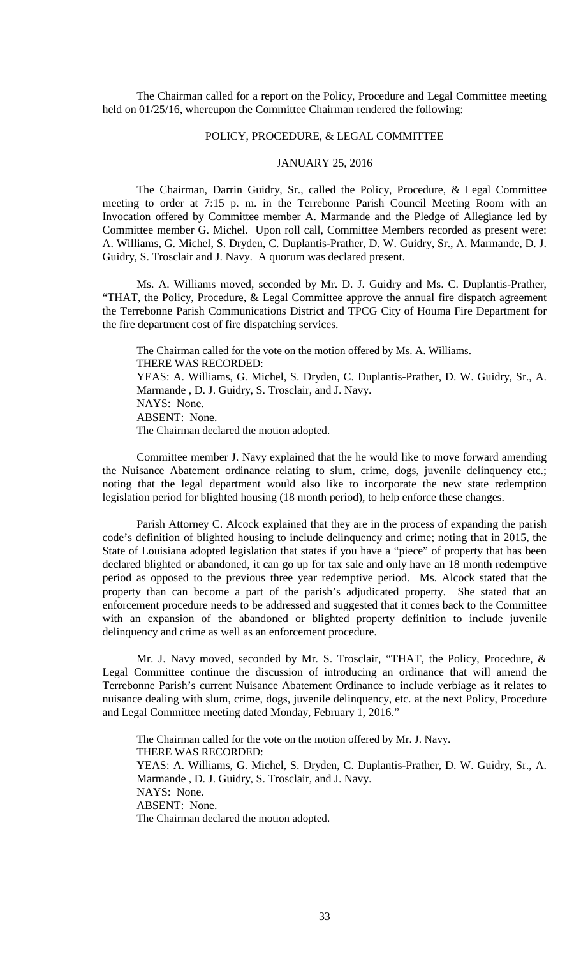The Chairman called for a report on the Policy, Procedure and Legal Committee meeting held on 01/25/16, whereupon the Committee Chairman rendered the following:

## POLICY, PROCEDURE, & LEGAL COMMITTEE

## JANUARY 25, 2016

The Chairman, Darrin Guidry, Sr., called the Policy, Procedure, & Legal Committee meeting to order at 7:15 p. m. in the Terrebonne Parish Council Meeting Room with an Invocation offered by Committee member A. Marmande and the Pledge of Allegiance led by Committee member G. Michel. Upon roll call, Committee Members recorded as present were: A. Williams, G. Michel, S. Dryden, C. Duplantis-Prather, D. W. Guidry, Sr., A. Marmande, D. J. Guidry, S. Trosclair and J. Navy. A quorum was declared present.

Ms. A. Williams moved, seconded by Mr. D. J. Guidry and Ms. C. Duplantis-Prather, "THAT, the Policy, Procedure, & Legal Committee approve the annual fire dispatch agreement the Terrebonne Parish Communications District and TPCG City of Houma Fire Department for the fire department cost of fire dispatching services.

The Chairman called for the vote on the motion offered by Ms. A. Williams. THERE WAS RECORDED: YEAS: A. Williams, G. Michel, S. Dryden, C. Duplantis-Prather, D. W. Guidry, Sr., A. Marmande , D. J. Guidry, S. Trosclair, and J. Navy. NAYS: None. ABSENT: None. The Chairman declared the motion adopted.

Committee member J. Navy explained that the he would like to move forward amending the Nuisance Abatement ordinance relating to slum, crime, dogs, juvenile delinquency etc.; noting that the legal department would also like to incorporate the new state redemption legislation period for blighted housing (18 month period), to help enforce these changes.

Parish Attorney C. Alcock explained that they are in the process of expanding the parish code's definition of blighted housing to include delinquency and crime; noting that in 2015, the State of Louisiana adopted legislation that states if you have a "piece" of property that has been declared blighted or abandoned, it can go up for tax sale and only have an 18 month redemptive period as opposed to the previous three year redemptive period. Ms. Alcock stated that the property than can become a part of the parish's adjudicated property. She stated that an enforcement procedure needs to be addressed and suggested that it comes back to the Committee with an expansion of the abandoned or blighted property definition to include juvenile delinquency and crime as well as an enforcement procedure.

 Mr. J. Navy moved, seconded by Mr. S. Trosclair, "THAT, the Policy, Procedure, & Legal Committee continue the discussion of introducing an ordinance that will amend the Terrebonne Parish's current Nuisance Abatement Ordinance to include verbiage as it relates to nuisance dealing with slum, crime, dogs, juvenile delinquency, etc. at the next Policy, Procedure and Legal Committee meeting dated Monday, February 1, 2016."

The Chairman called for the vote on the motion offered by Mr. J. Navy. THERE WAS RECORDED: YEAS: A. Williams, G. Michel, S. Dryden, C. Duplantis-Prather, D. W. Guidry, Sr., A. Marmande , D. J. Guidry, S. Trosclair, and J. Navy. NAYS: None. ABSENT: None. The Chairman declared the motion adopted.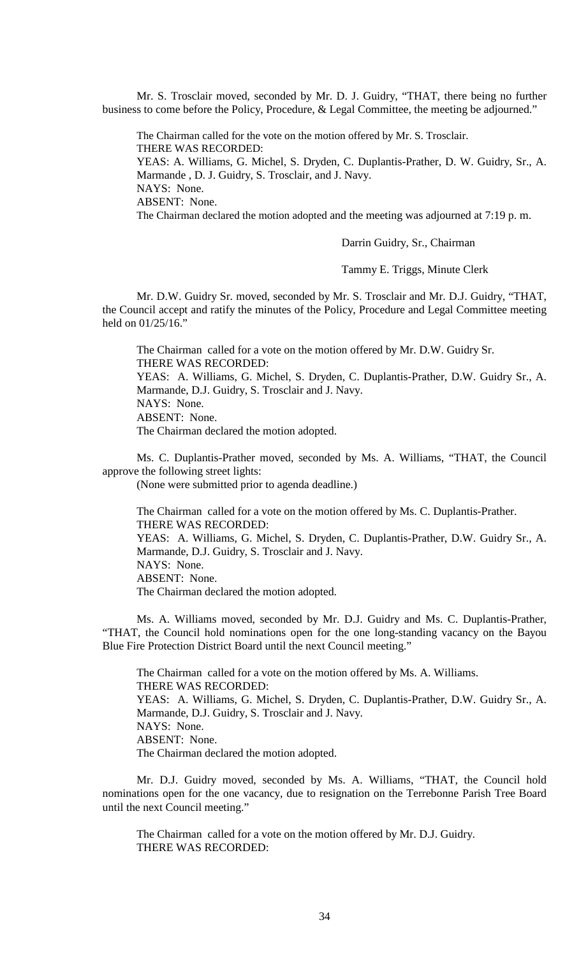Mr. S. Trosclair moved, seconded by Mr. D. J. Guidry, "THAT, there being no further business to come before the Policy, Procedure, & Legal Committee, the meeting be adjourned."

The Chairman called for the vote on the motion offered by Mr. S. Trosclair. THERE WAS RECORDED: YEAS: A. Williams, G. Michel, S. Dryden, C. Duplantis-Prather, D. W. Guidry, Sr., A. Marmande , D. J. Guidry, S. Trosclair, and J. Navy. NAYS: None. ABSENT: None. The Chairman declared the motion adopted and the meeting was adjourned at 7:19 p. m.

Darrin Guidry, Sr., Chairman

Tammy E. Triggs, Minute Clerk

Mr. D.W. Guidry Sr. moved, seconded by Mr. S. Trosclair and Mr. D.J. Guidry, "THAT, the Council accept and ratify the minutes of the Policy, Procedure and Legal Committee meeting held on 01/25/16."

The Chairman called for a vote on the motion offered by Mr. D.W. Guidry Sr. THERE WAS RECORDED:

YEAS: A. Williams, G. Michel, S. Dryden, C. Duplantis-Prather, D.W. Guidry Sr., A. Marmande, D.J. Guidry, S. Trosclair and J. Navy. NAYS: None. ABSENT: None.

The Chairman declared the motion adopted.

Ms. C. Duplantis-Prather moved, seconded by Ms. A. Williams, "THAT, the Council approve the following street lights:

(None were submitted prior to agenda deadline.)

The Chairman called for a vote on the motion offered by Ms. C. Duplantis-Prather. THERE WAS RECORDED: YEAS: A. Williams, G. Michel, S. Dryden, C. Duplantis-Prather, D.W. Guidry Sr., A. Marmande, D.J. Guidry, S. Trosclair and J. Navy. NAYS: None. ABSENT: None.

The Chairman declared the motion adopted.

Ms. A. Williams moved, seconded by Mr. D.J. Guidry and Ms. C. Duplantis-Prather, "THAT, the Council hold nominations open for the one long-standing vacancy on the Bayou Blue Fire Protection District Board until the next Council meeting."

The Chairman called for a vote on the motion offered by Ms. A. Williams. THERE WAS RECORDED: YEAS: A. Williams, G. Michel, S. Dryden, C. Duplantis-Prather, D.W. Guidry Sr., A. Marmande, D.J. Guidry, S. Trosclair and J. Navy. NAYS: None. ABSENT: None. The Chairman declared the motion adopted.

Mr. D.J. Guidry moved, seconded by Ms. A. Williams, "THAT, the Council hold nominations open for the one vacancy, due to resignation on the Terrebonne Parish Tree Board until the next Council meeting."

The Chairman called for a vote on the motion offered by Mr. D.J. Guidry. THERE WAS RECORDED: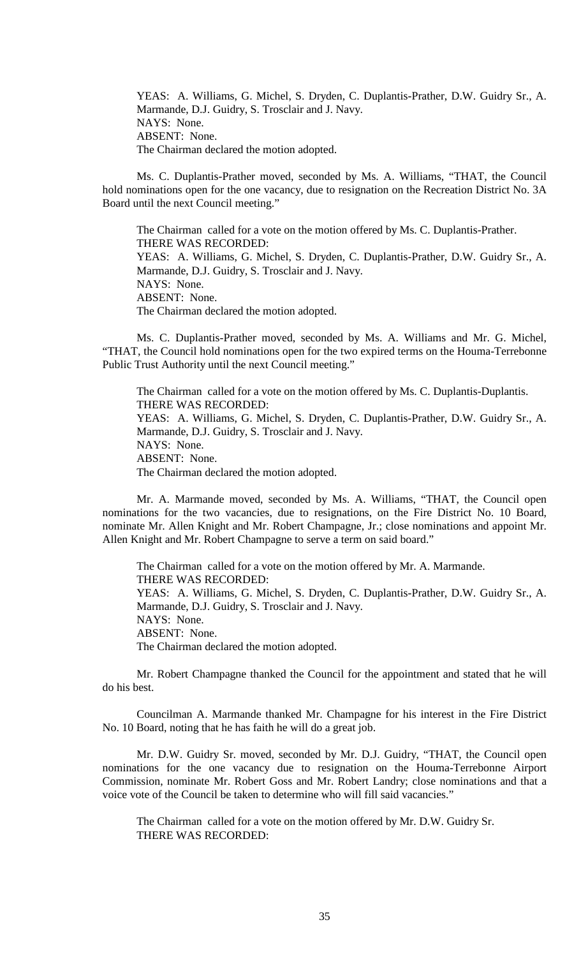YEAS: A. Williams, G. Michel, S. Dryden, C. Duplantis-Prather, D.W. Guidry Sr., A. Marmande, D.J. Guidry, S. Trosclair and J. Navy. NAYS: None. ABSENT: None. The Chairman declared the motion adopted.

Ms. C. Duplantis-Prather moved, seconded by Ms. A. Williams, "THAT, the Council hold nominations open for the one vacancy, due to resignation on the Recreation District No. 3A Board until the next Council meeting."

The Chairman called for a vote on the motion offered by Ms. C. Duplantis-Prather. THERE WAS RECORDED: YEAS: A. Williams, G. Michel, S. Dryden, C. Duplantis-Prather, D.W. Guidry Sr., A. Marmande, D.J. Guidry, S. Trosclair and J. Navy. NAYS: None. ABSENT: None. The Chairman declared the motion adopted.

Ms. C. Duplantis-Prather moved, seconded by Ms. A. Williams and Mr. G. Michel, "THAT, the Council hold nominations open for the two expired terms on the Houma-Terrebonne Public Trust Authority until the next Council meeting."

The Chairman called for a vote on the motion offered by Ms. C. Duplantis-Duplantis. THERE WAS RECORDED: YEAS: A. Williams, G. Michel, S. Dryden, C. Duplantis-Prather, D.W. Guidry Sr., A. Marmande, D.J. Guidry, S. Trosclair and J. Navy. NAYS: None. ABSENT: None. The Chairman declared the motion adopted.

Mr. A. Marmande moved, seconded by Ms. A. Williams, "THAT, the Council open nominations for the two vacancies, due to resignations, on the Fire District No. 10 Board, nominate Mr. Allen Knight and Mr. Robert Champagne, Jr.; close nominations and appoint Mr. Allen Knight and Mr. Robert Champagne to serve a term on said board."

The Chairman called for a vote on the motion offered by Mr. A. Marmande. THERE WAS RECORDED: YEAS: A. Williams, G. Michel, S. Dryden, C. Duplantis-Prather, D.W. Guidry Sr., A. Marmande, D.J. Guidry, S. Trosclair and J. Navy. NAYS: None. ABSENT: None. The Chairman declared the motion adopted.

Mr. Robert Champagne thanked the Council for the appointment and stated that he will do his best.

Councilman A. Marmande thanked Mr. Champagne for his interest in the Fire District No. 10 Board, noting that he has faith he will do a great job.

Mr. D.W. Guidry Sr. moved, seconded by Mr. D.J. Guidry, "THAT, the Council open nominations for the one vacancy due to resignation on the Houma-Terrebonne Airport Commission, nominate Mr. Robert Goss and Mr. Robert Landry; close nominations and that a voice vote of the Council be taken to determine who will fill said vacancies."

The Chairman called for a vote on the motion offered by Mr. D.W. Guidry Sr. THERE WAS RECORDED: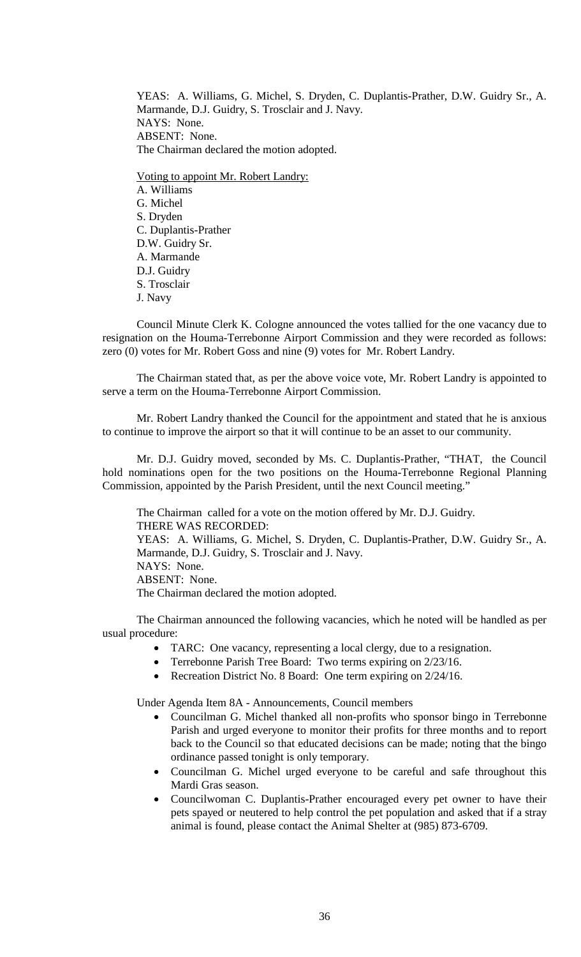YEAS: A. Williams, G. Michel, S. Dryden, C. Duplantis-Prather, D.W. Guidry Sr., A. Marmande, D.J. Guidry, S. Trosclair and J. Navy. NAYS: None. ABSENT: None. The Chairman declared the motion adopted.

Voting to appoint Mr. Robert Landry: A. Williams G. Michel S. Dryden C. Duplantis-Prather D.W. Guidry Sr. A. Marmande D.J. Guidry S. Trosclair J. Navy

Council Minute Clerk K. Cologne announced the votes tallied for the one vacancy due to resignation on the Houma-Terrebonne Airport Commission and they were recorded as follows: zero (0) votes for Mr. Robert Goss and nine (9) votes for Mr. Robert Landry.

The Chairman stated that, as per the above voice vote, Mr. Robert Landry is appointed to serve a term on the Houma-Terrebonne Airport Commission.

Mr. Robert Landry thanked the Council for the appointment and stated that he is anxious to continue to improve the airport so that it will continue to be an asset to our community.

Mr. D.J. Guidry moved, seconded by Ms. C. Duplantis-Prather, "THAT, the Council hold nominations open for the two positions on the Houma-Terrebonne Regional Planning Commission, appointed by the Parish President, until the next Council meeting."

The Chairman called for a vote on the motion offered by Mr. D.J. Guidry. THERE WAS RECORDED: YEAS: A. Williams, G. Michel, S. Dryden, C. Duplantis-Prather, D.W. Guidry Sr., A. Marmande, D.J. Guidry, S. Trosclair and J. Navy. NAYS: None. ABSENT: None. The Chairman declared the motion adopted.

The Chairman announced the following vacancies, which he noted will be handled as per usual procedure:

- TARC: One vacancy, representing a local clergy, due to a resignation.
- Terrebonne Parish Tree Board: Two terms expiring on 2/23/16.
- Recreation District No. 8 Board: One term expiring on  $2/24/16$ .

Under Agenda Item 8A - Announcements, Council members

- Councilman G. Michel thanked all non-profits who sponsor bingo in Terrebonne Parish and urged everyone to monitor their profits for three months and to report back to the Council so that educated decisions can be made; noting that the bingo ordinance passed tonight is only temporary.
- Councilman G. Michel urged everyone to be careful and safe throughout this Mardi Gras season.
- Councilwoman C. Duplantis-Prather encouraged every pet owner to have their pets spayed or neutered to help control the pet population and asked that if a stray animal is found, please contact the Animal Shelter at (985) 873-6709.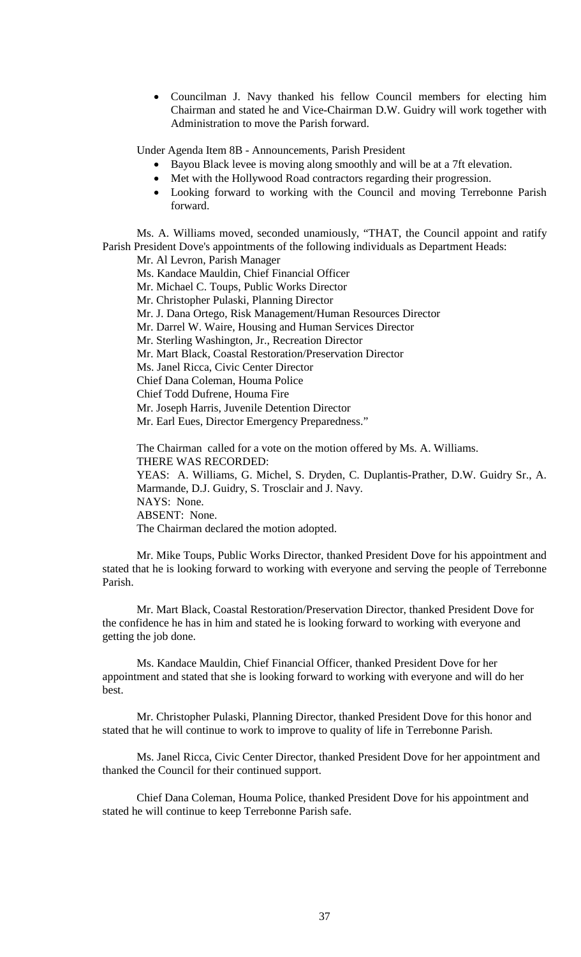• Councilman J. Navy thanked his fellow Council members for electing him Chairman and stated he and Vice-Chairman D.W. Guidry will work together with Administration to move the Parish forward.

Under Agenda Item 8B - Announcements, Parish President

- Bayou Black levee is moving along smoothly and will be at a 7ft elevation.
- Met with the Hollywood Road contractors regarding their progression.
- Looking forward to working with the Council and moving Terrebonne Parish forward.

Ms. A. Williams moved, seconded unamiously, "THAT, the Council appoint and ratify Parish President Dove's appointments of the following individuals as Department Heads:

Mr. Al Levron, Parish Manager Ms. Kandace Mauldin, Chief Financial Officer Mr. Michael C. Toups, Public Works Director Mr. Christopher Pulaski, Planning Director Mr. J. Dana Ortego, Risk Management/Human Resources Director Mr. Darrel W. Waire, Housing and Human Services Director Mr. Sterling Washington, Jr., Recreation Director Mr. Mart Black, Coastal Restoration/Preservation Director Ms. Janel Ricca, Civic Center Director Chief Dana Coleman, Houma Police Chief Todd Dufrene, Houma Fire Mr. Joseph Harris, Juvenile Detention Director Mr. Earl Eues, Director Emergency Preparedness."

The Chairman called for a vote on the motion offered by Ms. A. Williams. THERE WAS RECORDED: YEAS: A. Williams, G. Michel, S. Dryden, C. Duplantis-Prather, D.W. Guidry Sr., A. Marmande, D.J. Guidry, S. Trosclair and J. Navy. NAYS: None. ABSENT: None. The Chairman declared the motion adopted.

Mr. Mike Toups, Public Works Director, thanked President Dove for his appointment and stated that he is looking forward to working with everyone and serving the people of Terrebonne Parish.

Mr. Mart Black, Coastal Restoration/Preservation Director, thanked President Dove for the confidence he has in him and stated he is looking forward to working with everyone and getting the job done.

Ms. Kandace Mauldin, Chief Financial Officer, thanked President Dove for her appointment and stated that she is looking forward to working with everyone and will do her best.

Mr. Christopher Pulaski, Planning Director, thanked President Dove for this honor and stated that he will continue to work to improve to quality of life in Terrebonne Parish.

Ms. Janel Ricca, Civic Center Director, thanked President Dove for her appointment and thanked the Council for their continued support.

Chief Dana Coleman, Houma Police, thanked President Dove for his appointment and stated he will continue to keep Terrebonne Parish safe.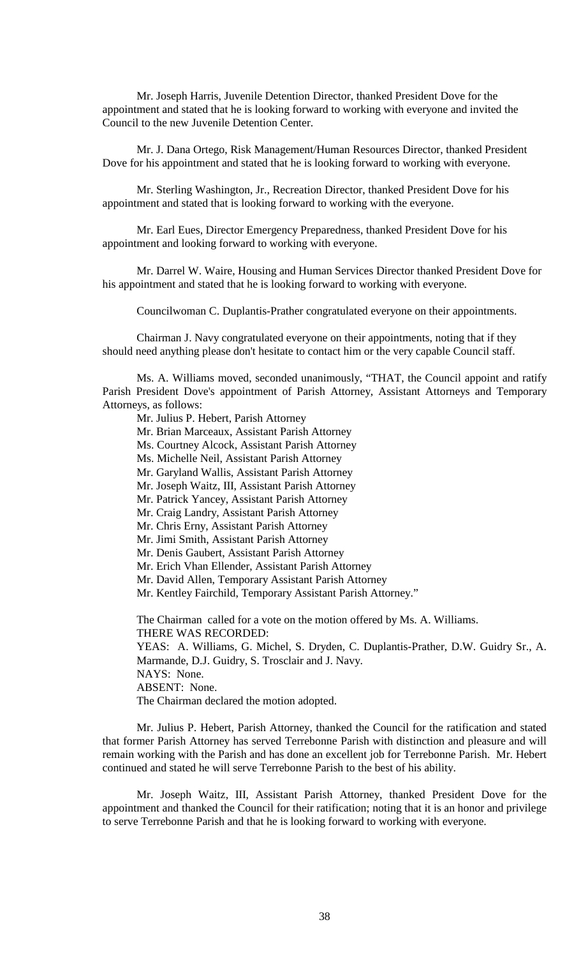Mr. Joseph Harris, Juvenile Detention Director, thanked President Dove for the appointment and stated that he is looking forward to working with everyone and invited the Council to the new Juvenile Detention Center.

Mr. J. Dana Ortego, Risk Management/Human Resources Director, thanked President Dove for his appointment and stated that he is looking forward to working with everyone.

Mr. Sterling Washington, Jr., Recreation Director, thanked President Dove for his appointment and stated that is looking forward to working with the everyone.

Mr. Earl Eues, Director Emergency Preparedness, thanked President Dove for his appointment and looking forward to working with everyone.

Mr. Darrel W. Waire, Housing and Human Services Director thanked President Dove for his appointment and stated that he is looking forward to working with everyone.

Councilwoman C. Duplantis-Prather congratulated everyone on their appointments.

Chairman J. Navy congratulated everyone on their appointments, noting that if they should need anything please don't hesitate to contact him or the very capable Council staff.

Ms. A. Williams moved, seconded unanimously, "THAT, the Council appoint and ratify Parish President Dove's appointment of Parish Attorney, Assistant Attorneys and Temporary Attorneys, as follows:

Mr. Julius P. Hebert, Parish Attorney

Mr. Brian Marceaux, Assistant Parish Attorney

Ms. Courtney Alcock, Assistant Parish Attorney

Ms. Michelle Neil, Assistant Parish Attorney

Mr. Garyland Wallis, Assistant Parish Attorney

Mr. Joseph Waitz, III, Assistant Parish Attorney

Mr. Patrick Yancey, Assistant Parish Attorney

Mr. Craig Landry, Assistant Parish Attorney

Mr. Chris Erny, Assistant Parish Attorney

Mr. Jimi Smith, Assistant Parish Attorney

Mr. Denis Gaubert, Assistant Parish Attorney

Mr. Erich Vhan Ellender, Assistant Parish Attorney

Mr. David Allen, Temporary Assistant Parish Attorney

Mr. Kentley Fairchild, Temporary Assistant Parish Attorney."

The Chairman called for a vote on the motion offered by Ms. A. Williams. THERE WAS RECORDED:

YEAS: A. Williams, G. Michel, S. Dryden, C. Duplantis-Prather, D.W. Guidry Sr., A. Marmande, D.J. Guidry, S. Trosclair and J. Navy.

NAYS: None.

ABSENT: None.

The Chairman declared the motion adopted.

Mr. Julius P. Hebert, Parish Attorney, thanked the Council for the ratification and stated that former Parish Attorney has served Terrebonne Parish with distinction and pleasure and will remain working with the Parish and has done an excellent job for Terrebonne Parish. Mr. Hebert continued and stated he will serve Terrebonne Parish to the best of his ability.

Mr. Joseph Waitz, III, Assistant Parish Attorney, thanked President Dove for the appointment and thanked the Council for their ratification; noting that it is an honor and privilege to serve Terrebonne Parish and that he is looking forward to working with everyone.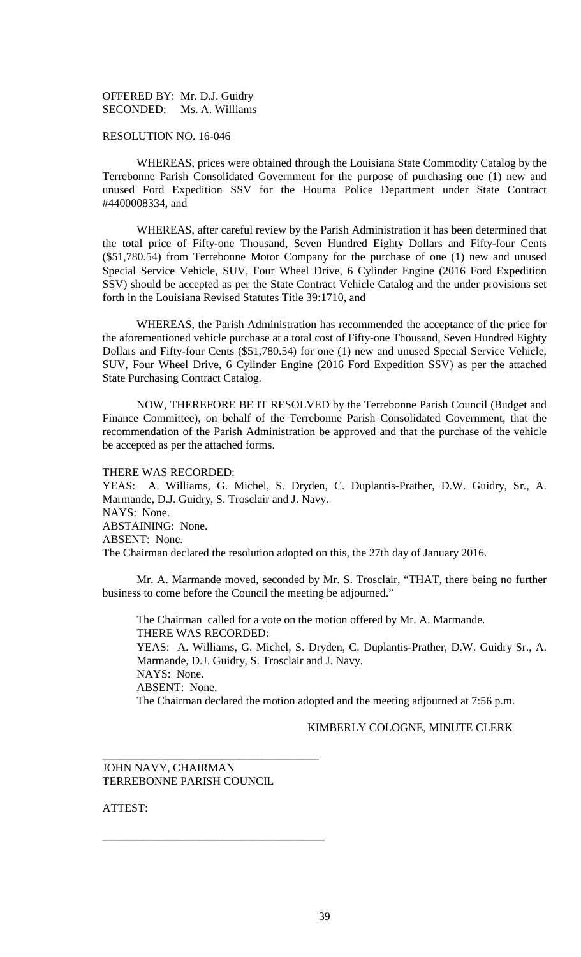OFFERED BY: Mr. D.J. Guidry SECONDED: Ms. A. Williams

## RESOLUTION NO. 16-046

WHEREAS, prices were obtained through the Louisiana State Commodity Catalog by the Terrebonne Parish Consolidated Government for the purpose of purchasing one (1) new and unused Ford Expedition SSV for the Houma Police Department under State Contract #4400008334, and

WHEREAS, after careful review by the Parish Administration it has been determined that the total price of Fifty-one Thousand, Seven Hundred Eighty Dollars and Fifty-four Cents (\$51,780.54) from Terrebonne Motor Company for the purchase of one (1) new and unused Special Service Vehicle, SUV, Four Wheel Drive, 6 Cylinder Engine (2016 Ford Expedition SSV) should be accepted as per the State Contract Vehicle Catalog and the under provisions set forth in the Louisiana Revised Statutes Title 39:1710, and

WHEREAS, the Parish Administration has recommended the acceptance of the price for the aforementioned vehicle purchase at a total cost of Fifty-one Thousand, Seven Hundred Eighty Dollars and Fifty-four Cents (\$51,780.54) for one (1) new and unused Special Service Vehicle, SUV, Four Wheel Drive, 6 Cylinder Engine (2016 Ford Expedition SSV) as per the attached State Purchasing Contract Catalog.

NOW, THEREFORE BE IT RESOLVED by the Terrebonne Parish Council (Budget and Finance Committee), on behalf of the Terrebonne Parish Consolidated Government, that the recommendation of the Parish Administration be approved and that the purchase of the vehicle be accepted as per the attached forms.

#### THERE WAS RECORDED:

YEAS: A. Williams, G. Michel, S. Dryden, C. Duplantis-Prather, D.W. Guidry, Sr., A. Marmande, D.J. Guidry, S. Trosclair and J. Navy. NAYS: None. ABSTAINING: None. ABSENT: None. The Chairman declared the resolution adopted on this, the 27th day of January 2016.

Mr. A. Marmande moved, seconded by Mr. S. Trosclair, "THAT, there being no further business to come before the Council the meeting be adjourned."

The Chairman called for a vote on the motion offered by Mr. A. Marmande. THERE WAS RECORDED: YEAS: A. Williams, G. Michel, S. Dryden, C. Duplantis-Prather, D.W. Guidry Sr., A. Marmande, D.J. Guidry, S. Trosclair and J. Navy. NAYS: None. ABSENT: None. The Chairman declared the motion adopted and the meeting adjourned at 7:56 p.m.

KIMBERLY COLOGNE, MINUTE CLERK

## JOHN NAVY, CHAIRMAN TERREBONNE PARISH COUNCIL

\_\_\_\_\_\_\_\_\_\_\_\_\_\_\_\_\_\_\_\_\_\_\_\_\_\_\_\_\_\_\_\_\_\_\_\_\_\_

\_\_\_\_\_\_\_\_\_\_\_\_\_\_\_\_\_\_\_\_\_\_\_\_\_\_\_\_\_\_\_\_\_\_\_\_\_\_\_

ATTEST: